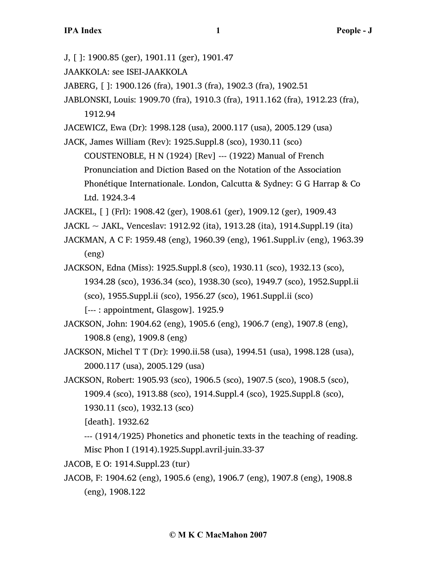J, [ ]: 1900.85 (ger), 1901.11 (ger), 1901.47

- JAAKKOLA: see ISEI-JAAKKOLA
- JABERG, [ ]: 1900.126 (fra), 1901.3 (fra), 1902.3 (fra), 1902.51
- JABLONSKI, Louis: 1909.70 (fra), 1910.3 (fra), 1911.162 (fra), 1912.23 (fra), 1912.94

JACEWICZ, Ewa (Dr): 1998.128 (usa), 2000.117 (usa), 2005.129 (usa)

JACK, James William (Rev): 1925.Suppl.8 (sco), 1930.11 (sco)

COUSTENOBLE, H N (1924) [Rev] --- (1922) Manual of French Pronunciation and Diction Based on the Notation of the Association Phonétique Internationale. London, Calcutta & Sydney: G G Harrap & Co Ltd. 1924.3-4

JACKEL, [ ] (Frl): 1908.42 (ger), 1908.61 (ger), 1909.12 (ger), 1909.43

JACKL ~ JAKL, Venceslav: 1912.92 (ita), 1913.28 (ita), 1914.Suppl.19 (ita)

JACKMAN, A C F: 1959.48 (eng), 1960.39 (eng), 1961.Suppl.iv (eng), 1963.39 (eng)

JACKSON, Edna (Miss): 1925.Suppl.8 (sco), 1930.11 (sco), 1932.13 (sco), 1934.28 (sco), 1936.34 (sco), 1938.30 (sco), 1949.7 (sco), 1952.Suppl.ii (sco), 1955.Suppl.ii (sco), 1956.27 (sco), 1961.Suppl.ii (sco)

[--- : appointment, Glasgow]. 1925.9

JACKSON, John: 1904.62 (eng), 1905.6 (eng), 1906.7 (eng), 1907.8 (eng), 1908.8 (eng), 1909.8 (eng)

JACKSON, Michel T T (Dr): 1990.ii.58 (usa), 1994.51 (usa), 1998.128 (usa), 2000.117 (usa), 2005.129 (usa)

JACKSON, Robert: 1905.93 (sco), 1906.5 (sco), 1907.5 (sco), 1908.5 (sco), 1909.4 (sco), 1913.88 (sco), 1914.Suppl.4 (sco), 1925.Suppl.8 (sco), 1930.11 (sco), 1932.13 (sco)

[death]. 1932.62

--- (1914/1925) Phonetics and phonetic texts in the teaching of reading. Misc Phon I (1914).1925.Suppl.avril-juin.33-37

JACOB, E O: 1914.Suppl.23 (tur)

JACOB, F: 1904.62 (eng), 1905.6 (eng), 1906.7 (eng), 1907.8 (eng), 1908.8 (eng), 1908.122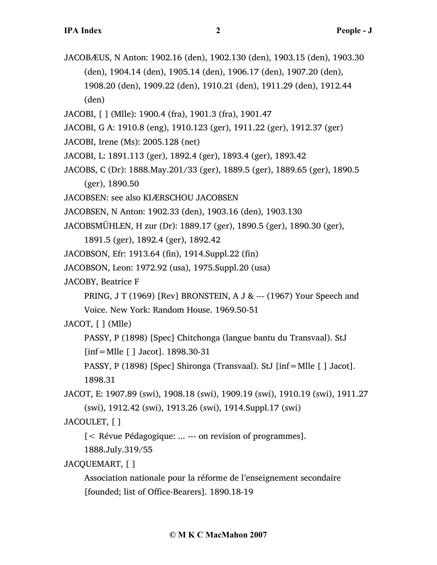- JACOBÆUS, N Anton: 1902.16 (den), 1902.130 (den), 1903.15 (den), 1903.30 (den), 1904.14 (den), 1905.14 (den), 1906.17 (den), 1907.20 (den), 1908.20 (den), 1909.22 (den), 1910.21 (den), 1911.29 (den), 1912.44 (den)
- JACOBI, [ ] (Mlle): 1900.4 (fra), 1901.3 (fra), 1901.47
- JACOBI, G A: 1910.8 (eng), 1910.123 (ger), 1911.22 (ger), 1912.37 (ger)
- JACOBI, Irene (Ms): 2005.128 (net)
- JACOBI, L: 1891.113 (ger), 1892.4 (ger), 1893.4 (ger), 1893.42
- JACOBS, C (Dr): 1888.May.201/33 (ger), 1889.5 (ger), 1889.65 (ger), 1890.5 (ger), 1890.50
- JACOBSEN: see also KIÆRSCHOU JACOBSEN
- JACOBSEN, N Anton: 1902.33 (den), 1903.16 (den), 1903.130
- JACOBSMÜHLEN, H zur (Dr): 1889.17 (ger), 1890.5 (ger), 1890.30 (ger),

1891.5 (ger), 1892.4 (ger), 1892.42

- JACOBSON, Efr: 1913.64 (fin), 1914.Suppl.22 (fin)
- JACOBSON, Leon: 1972.92 (usa), 1975.Suppl.20 (usa)
- JACOBY, Beatrice F

PRING, J T (1969) [Rev] BRONSTEIN, A J & --- (1967) Your Speech and

Voice. New York: Random House. 1969.50-51

## JACOT, [ ] (Mlle)

PASSY, P (1898) [Spec] Chitchonga (langue bantu du Transvaal). StJ [inf=Mlle [ ] Jacot]. 1898.30-31

PASSY, P (1898) [Spec] Shironga (Transvaal). StJ [inf=Mlle [ ] Jacot]. 1898.31

JACOT, E: 1907.89 (swi), 1908.18 (swi), 1909.19 (swi), 1910.19 (swi), 1911.27 (swi), 1912.42 (swi), 1913.26 (swi), 1914.Suppl.17 (swi)

JACOULET, [ ]

[< Révue Pédagogique: ... --- on revision of programmes].

1888.July.319/55

## JACQUEMART, [ ]

Association nationale pour la réforme de l'enseignement secondaire [founded; list of Office-Bearers]. 1890.18-19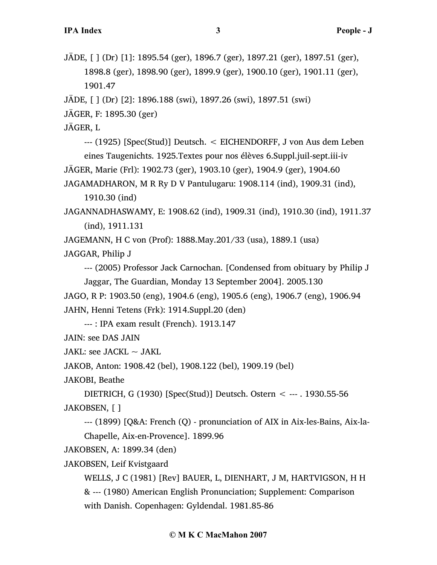JÄDE, [ ] (Dr) [1]: 1895.54 (ger), 1896.7 (ger), 1897.21 (ger), 1897.51 (ger), 1898.8 (ger), 1898.90 (ger), 1899.9 (ger), 1900.10 (ger), 1901.11 (ger), 1901.47

```
JÄDE, [ ] (Dr) [2]: 1896.188 (swi), 1897.26 (swi), 1897.51 (swi)
```
JÄGER, F: 1895.30 (ger)

JÄGER, L

--- (1925) [Spec(Stud)] Deutsch. < EICHENDORFF, J von Aus dem Leben

eines Taugenichts. 1925.Textes pour nos élèves 6.Suppl.juil-sept.iii-iv

JÄGER, Marie (Frl): 1902.73 (ger), 1903.10 (ger), 1904.9 (ger), 1904.60

JAGAMADHARON, M R Ry D V Pantulugaru: 1908.114 (ind), 1909.31 (ind), 1910.30 (ind)

JAGANNADHASWAMY, E: 1908.62 (ind), 1909.31 (ind), 1910.30 (ind), 1911.37 (ind), 1911.131

JAGEMANN, H C von (Prof): 1888.May.201/33 (usa), 1889.1 (usa)

JAGGAR, Philip J

--- (2005) Professor Jack Carnochan. [Condensed from obituary by Philip J

Jaggar, The Guardian, Monday 13 September 2004]. 2005.130 JAGO, R P: 1903.50 (eng), 1904.6 (eng), 1905.6 (eng), 1906.7 (eng), 1906.94 JAHN, Henni Tetens (Frk): 1914.Suppl.20 (den)

--- : IPA exam result (French). 1913.147

JAIN: see DAS JAIN

JAKL: see JACKL  $\sim$  JAKL

JAKOB, Anton: 1908.42 (bel), 1908.122 (bel), 1909.19 (bel)

JAKOBI, Beathe

DIETRICH, G (1930) [Spec(Stud)] Deutsch. Ostern < --- . 1930.55-56 JAKOBSEN, [ ]

--- (1899) [Q&A: French (Q) - pronunciation of AIX in Aix-les-Bains, Aix-la-Chapelle, Aix-en-Provence]. 1899.96

JAKOBSEN, A: 1899.34 (den)

JAKOBSEN, Leif Kvistgaard

WELLS, J C (1981) [Rev] BAUER, L, DIENHART, J M, HARTVIGSON, H H & --- (1980) American English Pronunciation; Supplement: Comparison with Danish. Copenhagen: Gyldendal. 1981.85-86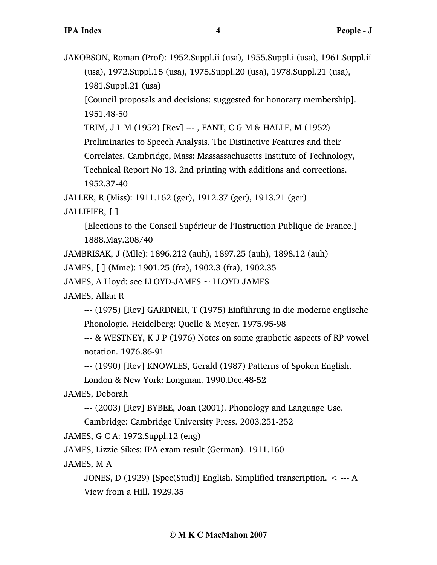JAKOBSON, Roman (Prof): 1952.Suppl.ii (usa), 1955.Suppl.i (usa), 1961.Suppl.ii (usa), 1972.Suppl.15 (usa), 1975.Suppl.20 (usa), 1978.Suppl.21 (usa), 1981.Suppl.21 (usa)

[Council proposals and decisions: suggested for honorary membership]. 1951.48-50

TRIM, J L M (1952) [Rev] --- , FANT, C G M & HALLE, M (1952)

Preliminaries to Speech Analysis. The Distinctive Features and their

Correlates. Cambridge, Mass: Massassachusetts Institute of Technology,

Technical Report No 13. 2nd printing with additions and corrections. 1952.37-40

JALLER, R (Miss): 1911.162 (ger), 1912.37 (ger), 1913.21 (ger)

JALLIFIER, [ ]

[Elections to the Conseil Supérieur de l'Instruction Publique de France.] 1888.May.208/40

JAMBRISAK, J (Mlle): 1896.212 (auh), 1897.25 (auh), 1898.12 (auh)

JAMES, [ ] (Mme): 1901.25 (fra), 1902.3 (fra), 1902.35

JAMES, A Lloyd: see LLOYD-JAMES  $\sim$  LLOYD JAMES

JAMES, Allan R

--- (1975) [Rev] GARDNER, T (1975) Einführung in die moderne englische Phonologie. Heidelberg: Quelle & Meyer. 1975.95-98

--- & WESTNEY, K J P (1976) Notes on some graphetic aspects of RP vowel notation. 1976.86-91

--- (1990) [Rev] KNOWLES, Gerald (1987) Patterns of Spoken English.

London & New York: Longman. 1990.Dec.48-52

JAMES, Deborah

--- (2003) [Rev] BYBEE, Joan (2001). Phonology and Language Use.

Cambridge: Cambridge University Press. 2003.251-252

JAMES, G C A: 1972.Suppl.12 (eng)

JAMES, Lizzie Sikes: IPA exam result (German). 1911.160

JAMES, M A

JONES, D (1929) [Spec(Stud)] English. Simplified transcription. < --- A View from a Hill. 1929.35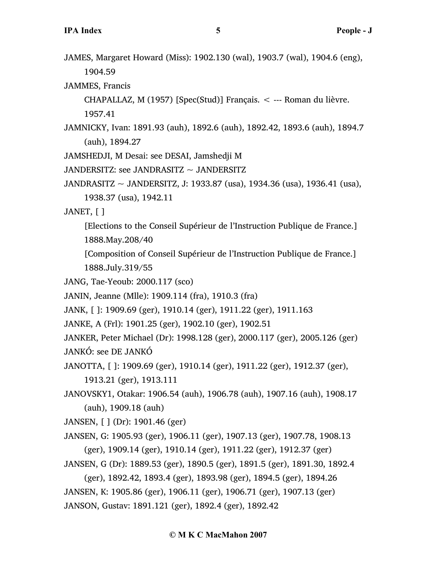- JAMES, Margaret Howard (Miss): 1902.130 (wal), 1903.7 (wal), 1904.6 (eng), 1904.59
- JAMMES, Francis
	- CHAPALLAZ, M  $(1957)$  [Spec(Stud)] Français.  $\lt$  --- Roman du lièvre. 1957.41
- JAMNICKY, Ivan: 1891.93 (auh), 1892.6 (auh), 1892.42, 1893.6 (auh), 1894.7 (auh), 1894.27
- JAMSHEDJI, M Desai: see DESAI, Jamshedji M
- JANDERSITZ: see JANDRASITZ ~ JANDERSITZ
- JANDRASITZ ~ JANDERSITZ, J: 1933.87 (usa), 1934.36 (usa), 1936.41 (usa), 1938.37 (usa), 1942.11
- JANET, [ ]
	- [Elections to the Conseil Supérieur de l'Instruction Publique de France.] 1888.May.208/40
	- [Composition of Conseil Supérieur de l'Instruction Publique de France.] 1888.July.319/55
- JANG, Tae-Yeoub: 2000.117 (sco)
- JANIN, Jeanne (Mlle): 1909.114 (fra), 1910.3 (fra)
- JANK, [ ]: 1909.69 (ger), 1910.14 (ger), 1911.22 (ger), 1911.163
- JANKE, A (Frl): 1901.25 (ger), 1902.10 (ger), 1902.51

JANKER, Peter Michael (Dr): 1998.128 (ger), 2000.117 (ger), 2005.126 (ger) JANKÓ: see DE JANKÓ

JANOTTA, [ ]: 1909.69 (ger), 1910.14 (ger), 1911.22 (ger), 1912.37 (ger),

1913.21 (ger), 1913.111

JANOVSKY1, Otakar: 1906.54 (auh), 1906.78 (auh), 1907.16 (auh), 1908.17 (auh), 1909.18 (auh)

JANSEN, [ ] (Dr): 1901.46 (ger)

- JANSEN, G: 1905.93 (ger), 1906.11 (ger), 1907.13 (ger), 1907.78, 1908.13 (ger), 1909.14 (ger), 1910.14 (ger), 1911.22 (ger), 1912.37 (ger)
- JANSEN, G (Dr): 1889.53 (ger), 1890.5 (ger), 1891.5 (ger), 1891.30, 1892.4

```
(ger), 1892.42, 1893.4 (ger), 1893.98 (ger), 1894.5 (ger), 1894.26
JANSEN, K: 1905.86 (ger), 1906.11 (ger), 1906.71 (ger), 1907.13 (ger)
JANSON, Gustav: 1891.121 (ger), 1892.4 (ger), 1892.42
```
#### **© M K C MacMahon 2007**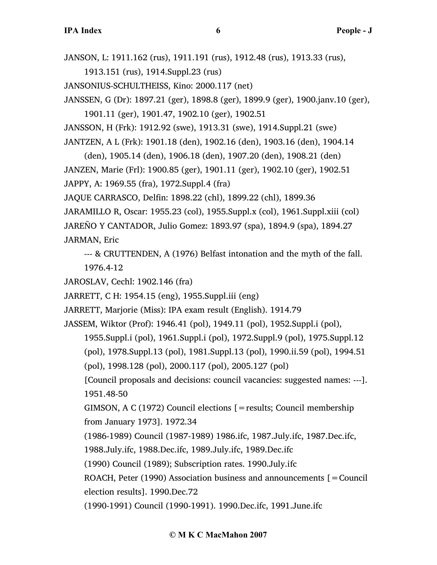JANSON, L: 1911.162 (rus), 1911.191 (rus), 1912.48 (rus), 1913.33 (rus),

1913.151 (rus), 1914.Suppl.23 (rus)

JANSONIUS-SCHULTHEISS, Kino: 2000.117 (net)

JANSSEN, G (Dr): 1897.21 (ger), 1898.8 (ger), 1899.9 (ger), 1900.janv.10 (ger),

1901.11 (ger), 1901.47, 1902.10 (ger), 1902.51 JANSSON, H (Frk): 1912.92 (swe), 1913.31 (swe), 1914.Suppl.21 (swe) JANTZEN, A L (Frk): 1901.18 (den), 1902.16 (den), 1903.16 (den), 1904.14

(den), 1905.14 (den), 1906.18 (den), 1907.20 (den), 1908.21 (den) JANZEN, Marie (Frl): 1900.85 (ger), 1901.11 (ger), 1902.10 (ger), 1902.51 JAPPY, A: 1969.55 (fra), 1972.Suppl.4 (fra)

JAQUE CARRASCO, Delfin: 1898.22 (chl), 1899.22 (chl), 1899.36

JARAMILLO R, Oscar: 1955.23 (col), 1955.Suppl.x (col), 1961.Suppl.xiii (col) JAREÑO Y CANTADOR, Julio Gomez: 1893.97 (spa), 1894.9 (spa), 1894.27

JARMAN, Eric

--- & CRUTTENDEN, A (1976) Belfast intonation and the myth of the fall. 1976.4-12

JAROSLAV, Cechl: 1902.146 (fra)

JARRETT, C H: 1954.15 (eng), 1955.Suppl.iii (eng)

JARRETT, Marjorie (Miss): IPA exam result (English). 1914.79

JASSEM, Wiktor (Prof): 1946.41 (pol), 1949.11 (pol), 1952.Suppl.i (pol),

1955.Suppl.i (pol), 1961.Suppl.i (pol), 1972.Suppl.9 (pol), 1975.Suppl.12 (pol), 1978.Suppl.13 (pol), 1981.Suppl.13 (pol), 1990.ii.59 (pol), 1994.51

(pol), 1998.128 (pol), 2000.117 (pol), 2005.127 (pol)

[Council proposals and decisions: council vacancies: suggested names: ---]. 1951.48-50

GIMSON, A C (1972) Council elections [=results; Council membership from January 1973]. 1972.34

(1986-1989) Council (1987-1989) 1986.ifc, 1987.July.ifc, 1987.Dec.ifc,

1988.July.ifc, 1988.Dec.ifc, 1989.July.ifc, 1989.Dec.ifc

(1990) Council (1989); Subscription rates. 1990.July.ifc

ROACH, Peter (1990) Association business and announcements  $[=$  Council election results]. 1990.Dec.72

(1990-1991) Council (1990-1991). 1990.Dec.ifc, 1991.June.ifc

# **© M K C MacMahon 2007**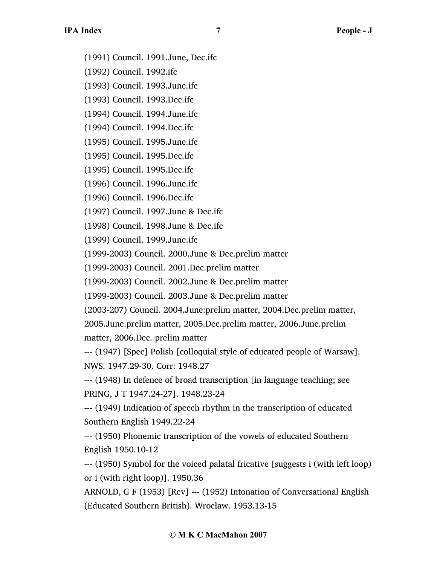- (1991) Council. 1991.June, Dec.ifc
- (1992) Council. 1992.ifc
- (1993) Council. 1993.June.ifc
- (1993) Council. 1993.Dec.ifc
- (1994) Council. 1994.June.ifc
- (1994) Council. 1994.Dec.ifc
- (1995) Council. 1995.June.ifc
- (1995) Council. 1995.Dec.ifc
- (1995) Council. 1995.Dec.ifc
- (1996) Council. 1996.June.ifc
- (1996) Council. 1996.Dec.ifc
- (1997) Council. 1997.June & Dec.ifc
- (1998) Council. 1998.June & Dec.ifc
- (1999) Council. 1999.June.ifc
- (1999-2003) Council. 2000.June & Dec.prelim matter
- (1999-2003) Council. 2001.Dec.prelim matter
- (1999-2003) Council. 2002.June & Dec.prelim matter
- (1999-2003) Council. 2003.June & Dec.prelim matter
- (2003-207) Council. 2004.June:prelim matter, 2004.Dec.prelim matter, 2005.June.prelim matter, 2005.Dec.prelim matter, 2006.June.prelim
- matter, 2006.Dec. prelim matter
- --- (1947) [Spec] Polish [colloquial style of educated people of Warsaw]. NWS. 1947.29-30. Corr: 1948.27
- --- (1948) In defence of broad transcription [in language teaching; see PRING, J T 1947.24-27]. 1948.23-24
- --- (1949) Indication of speech rhythm in the transcription of educated Southern English 1949.22-24
- --- (1950) Phonemic transcription of the vowels of educated Southern English 1950.10-12
- --- (1950) Symbol for the voiced palatal fricative [suggests i (with left loop) or i (with right loop)]. 1950.36
- ARNOLD, G F (1953) [Rev] --- (1952) Intonation of Conversational English (Educated Southern British). Wrocław. 1953.13-15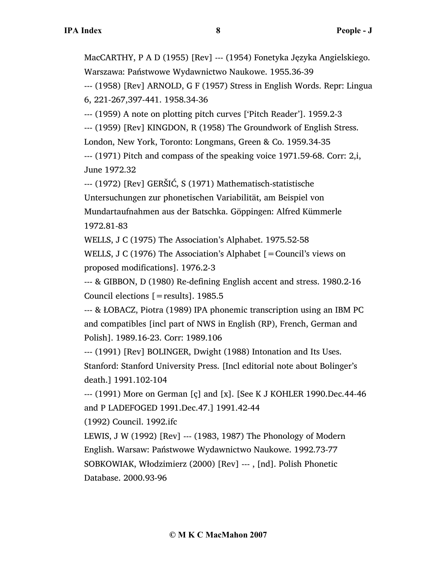MacCARTHY, P A D (1955) [Rev] --- (1954) Fonetyka Języka Angielskiego. Warszawa: Państwowe Wydawnictwo Naukowe. 1955.36-39

--- (1958) [Rev] ARNOLD, G F (1957) Stress in English Words. Repr: Lingua 6, 221-267,397-441. 1958.34-36

--- (1959) A note on plotting pitch curves ['Pitch Reader']. 1959.2-3

--- (1959) [Rev] KINGDON, R (1958) The Groundwork of English Stress.

London, New York, Toronto: Longmans, Green & Co. 1959.34-35

--- (1971) Pitch and compass of the speaking voice 1971.59-68. Corr: 2,i, June 1972.32

--- (1972) [Rev] GERŠIĆ, S (1971) Mathematisch-statistische

Untersuchungen zur phonetischen Variabilität, am Beispiel von Mundartaufnahmen aus der Batschka. Göppingen: Alfred Kümmerle 1972.81-83

WELLS, J C (1975) The Association's Alphabet. 1975.52-58

WELLS, J C (1976) The Association's Alphabet [=Council's views on proposed modifications]. 1976.2-3

--- & GIBBON, D (1980) Re-defining English accent and stress. 1980.2-16 Council elections  $[=$  results]. 1985.5

--- & ŁOBACZ, Piotra (1989) IPA phonemic transcription using an IBM PC and compatibles [incl part of NWS in English (RP), French, German and Polish]. 1989.16-23. Corr: 1989.106

--- (1991) [Rev] BOLINGER, Dwight (1988) Intonation and Its Uses. Stanford: Stanford University Press. [Incl editorial note about Bolinger's death.] 1991.102-104

--- (1991) More on German [ç] and [x]. [See K J KOHLER 1990.Dec.44-46 and P LADEFOGED 1991.Dec.47.] 1991.42-44

(1992) Council. 1992.ifc

LEWIS, J W (1992) [Rev] --- (1983, 1987) The Phonology of Modern English. Warsaw: Państwowe Wydawnictwo Naukowe. 1992.73-77 SOBKOWIAK, Włodzimierz (2000) [Rev] --- , [nd]. Polish Phonetic Database. 2000.93-96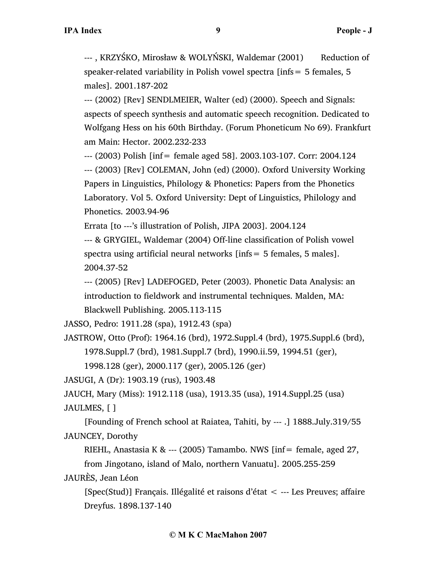---, KRZYŚKO, Mirosław & WOLYŃSKI, Waldemar (2001) Reduction of speaker-related variability in Polish vowel spectra [infs= 5 females, 5 males]. 2001.187-202

--- (2002) [Rev] SENDLMEIER, Walter (ed) (2000). Speech and Signals: aspects of speech synthesis and automatic speech recognition. Dedicated to Wolfgang Hess on his 60th Birthday. (Forum Phoneticum No 69). Frankfurt am Main: Hector. 2002.232-233

--- (2003) Polish [inf= female aged 58]. 2003.103-107. Corr: 2004.124

--- (2003) [Rev] COLEMAN, John (ed) (2000). Oxford University Working Papers in Linguistics, Philology & Phonetics: Papers from the Phonetics Laboratory. Vol 5. Oxford University: Dept of Linguistics, Philology and Phonetics. 2003.94-96

Errata [to ---'s illustration of Polish, JIPA 2003]. 2004.124

--- & GRYGIEL, Waldemar (2004) Off-line classification of Polish vowel spectra using artificial neural networks [infs= 5 females, 5 males]. 2004.37-52

--- (2005) [Rev] LADEFOGED, Peter (2003). Phonetic Data Analysis: an introduction to fieldwork and instrumental techniques. Malden, MA: Blackwell Publishing. 2005.113-115

JASSO, Pedro: 1911.28 (spa), 1912.43 (spa)

JASTROW, Otto (Prof): 1964.16 (brd), 1972.Suppl.4 (brd), 1975.Suppl.6 (brd), 1978.Suppl.7 (brd), 1981.Suppl.7 (brd), 1990.ii.59, 1994.51 (ger),

1998.128 (ger), 2000.117 (ger), 2005.126 (ger)

JASUGI, A (Dr): 1903.19 (rus), 1903.48

JAUCH, Mary (Miss): 1912.118 (usa), 1913.35 (usa), 1914.Suppl.25 (usa)

JAULMES, [ ]

[Founding of French school at Raiatea, Tahiti, by --- .] 1888.July.319/55 JAUNCEY, Dorothy

RIEHL, Anastasia K & --- (2005) Tamambo. NWS  $\text{inf} = \text{female}$ , aged 27, from Jingotano, island of Malo, northern Vanuatu]. 2005.255-259

JAURÈS, Jean Léon

[Spec(Stud)] Français. Illégalité et raisons d'état < --- Les Preuves; affaire Dreyfus. 1898.137-140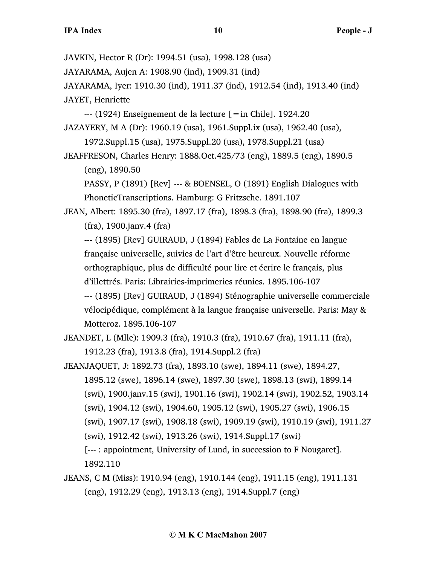JAVKIN, Hector R (Dr): 1994.51 (usa), 1998.128 (usa)

JAYARAMA, Aujen A: 1908.90 (ind), 1909.31 (ind)

JAYARAMA, Iyer: 1910.30 (ind), 1911.37 (ind), 1912.54 (ind), 1913.40 (ind) JAYET, Henriette

 $-$ -- (1924) Enseignement de la lecture  $[=$ in Chile]. 1924.20

JAZAYERY, M A (Dr): 1960.19 (usa), 1961.Suppl.ix (usa), 1962.40 (usa), 1972.Suppl.15 (usa), 1975.Suppl.20 (usa), 1978.Suppl.21 (usa)

JEAFFRESON, Charles Henry: 1888.Oct.425/73 (eng), 1889.5 (eng), 1890.5 (eng), 1890.50

PASSY, P (1891) [Rev] --- & BOENSEL, O (1891) English Dialogues with PhoneticTranscriptions. Hamburg: G Fritzsche. 1891.107

JEAN, Albert: 1895.30 (fra), 1897.17 (fra), 1898.3 (fra), 1898.90 (fra), 1899.3 (fra), 1900.janv.4 (fra)

--- (1895) [Rev] GUIRAUD, J (1894) Fables de La Fontaine en langue française universelle, suivies de l'art d'être heureux. Nouvelle réforme orthographique, plus de difficulté pour lire et écrire le français, plus d'illettrés. Paris: Librairies-imprimeries réunies. 1895.106-107

--- (1895) [Rev] GUIRAUD, J (1894) Sténographie universelle commerciale vélocipédique, complément à la langue française universelle. Paris: May & Motteroz. 1895.106-107

JEANDET, L (Mlle): 1909.3 (fra), 1910.3 (fra), 1910.67 (fra), 1911.11 (fra), 1912.23 (fra), 1913.8 (fra), 1914.Suppl.2 (fra)

- JEANJAQUET, J: 1892.73 (fra), 1893.10 (swe), 1894.11 (swe), 1894.27, 1895.12 (swe), 1896.14 (swe), 1897.30 (swe), 1898.13 (swi), 1899.14 (swi), 1900.janv.15 (swi), 1901.16 (swi), 1902.14 (swi), 1902.52, 1903.14 (swi), 1904.12 (swi), 1904.60, 1905.12 (swi), 1905.27 (swi), 1906.15 (swi), 1907.17 (swi), 1908.18 (swi), 1909.19 (swi), 1910.19 (swi), 1911.27 (swi), 1912.42 (swi), 1913.26 (swi), 1914.Suppl.17 (swi) [--- : appointment, University of Lund, in succession to F Nougaret]. 1892.110
- JEANS, C M (Miss): 1910.94 (eng), 1910.144 (eng), 1911.15 (eng), 1911.131 (eng), 1912.29 (eng), 1913.13 (eng), 1914.Suppl.7 (eng)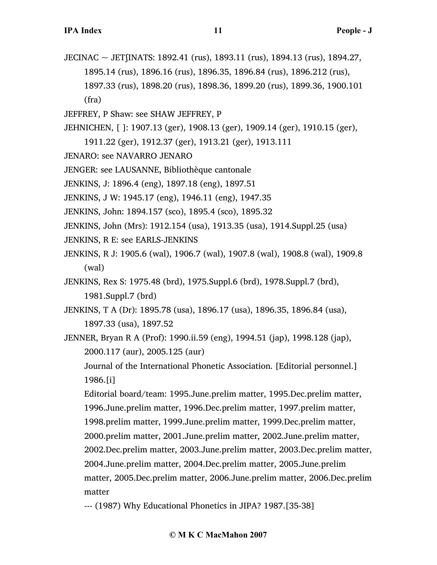- JECINAC ~ JETʃINATS: 1892.41 (rus), 1893.11 (rus), 1894.13 (rus), 1894.27, 1895.14 (rus), 1896.16 (rus), 1896.35, 1896.84 (rus), 1896.212 (rus), 1897.33 (rus), 1898.20 (rus), 1898.36, 1899.20 (rus), 1899.36, 1900.101 (fra)
- JEFFREY, P Shaw: see SHAW JEFFREY, P
- JEHNICHEN, [ ]: 1907.13 (ger), 1908.13 (ger), 1909.14 (ger), 1910.15 (ger),
	- 1911.22 (ger), 1912.37 (ger), 1913.21 (ger), 1913.111
- JENARO: see NAVARRO JENARO
- JENGER: see LAUSANNE, Bibliothèque cantonale
- JENKINS, J: 1896.4 (eng), 1897.18 (eng), 1897.51
- JENKINS, J W: 1945.17 (eng), 1946.11 (eng), 1947.35
- JENKINS, John: 1894.157 (sco), 1895.4 (sco), 1895.32
- JENKINS, John (Mrs): 1912.154 (usa), 1913.35 (usa), 1914.Suppl.25 (usa)
- JENKINS, R E: see EARLS-JENKINS
- JENKINS, R J: 1905.6 (wal), 1906.7 (wal), 1907.8 (wal), 1908.8 (wal), 1909.8 (wal)
- JENKINS, Rex S: 1975.48 (brd), 1975.Suppl.6 (brd), 1978.Suppl.7 (brd), 1981.Suppl.7 (brd)
- JENKINS, T A (Dr): 1895.78 (usa), 1896.17 (usa), 1896.35, 1896.84 (usa), 1897.33 (usa), 1897.52
- JENNER, Bryan R A (Prof): 1990.ii.59 (eng), 1994.51 (jap), 1998.128 (jap), 2000.117 (aur), 2005.125 (aur)

Journal of the International Phonetic Association. [Editorial personnel.] 1986.[i]

Editorial board/team: 1995.June.prelim matter, 1995.Dec.prelim matter, 1996.June.prelim matter, 1996.Dec.prelim matter, 1997.prelim matter, 1998.prelim matter, 1999.June.prelim matter, 1999.Dec.prelim matter, 2000.prelim matter, 2001.June.prelim matter, 2002.June.prelim matter, 2002.Dec.prelim matter, 2003.June.prelim matter, 2003.Dec.prelim matter, 2004.June.prelim matter, 2004.Dec.prelim matter, 2005.June.prelim matter, 2005.Dec.prelim matter, 2006.June.prelim matter, 2006.Dec.prelim matter

--- (1987) Why Educational Phonetics in JIPA? 1987.[35-38]

#### **© M K C MacMahon 2007**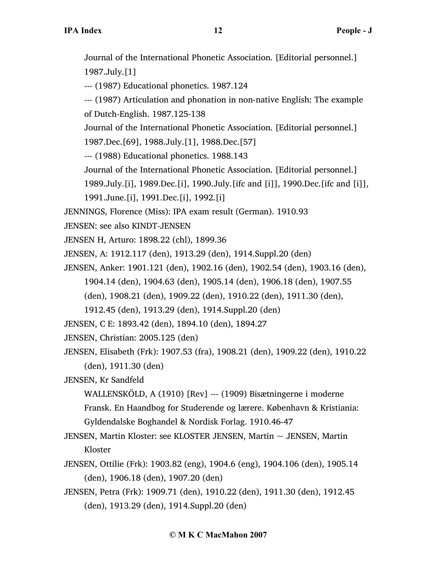Journal of the International Phonetic Association. [Editorial personnel.] 1987.July.[1]

--- (1987) Educational phonetics. 1987.124

--- (1987) Articulation and phonation in non-native English: The example of Dutch-English. 1987.125-138

Journal of the International Phonetic Association. [Editorial personnel.] 1987.Dec.[69], 1988.July.[1], 1988.Dec.[57]

--- (1988) Educational phonetics. 1988.143

Journal of the International Phonetic Association. [Editorial personnel.]

1989.July.[i], 1989.Dec.[i], 1990.July.[ifc and [i]], 1990.Dec.[ifc and [i]],

1991.June.[i], 1991.Dec.[i], 1992.[i]

JENNINGS, Florence (Miss): IPA exam result (German). 1910.93

JENSEN: see also KINDT-JENSEN

JENSEN H, Arturo: 1898.22 (chl), 1899.36

JENSEN, A: 1912.117 (den), 1913.29 (den), 1914.Suppl.20 (den)

JENSEN, Anker: 1901.121 (den), 1902.16 (den), 1902.54 (den), 1903.16 (den),

1904.14 (den), 1904.63 (den), 1905.14 (den), 1906.18 (den), 1907.55

(den), 1908.21 (den), 1909.22 (den), 1910.22 (den), 1911.30 (den),

1912.45 (den), 1913.29 (den), 1914.Suppl.20 (den)

JENSEN, C E: 1893.42 (den), 1894.10 (den), 1894.27

JENSEN, Christian: 2005.125 (den)

JENSEN, Elisabeth (Frk): 1907.53 (fra), 1908.21 (den), 1909.22 (den), 1910.22 (den), 1911.30 (den)

JENSEN, Kr Sandfeld

WALLENSKÖLD, A (1910) [Rev] --- (1909) Bisætningerne i moderne Fransk. En Haandbog for Studerende og lærere. København & Kristiania: Gyldendalske Boghandel & Nordisk Forlag. 1910.46-47

JENSEN, Martin Kloster: see KLOSTER JENSEN, Martin ~ JENSEN, Martin Kloster

- JENSEN, Ottilie (Frk): 1903.82 (eng), 1904.6 (eng), 1904.106 (den), 1905.14 (den), 1906.18 (den), 1907.20 (den)
- JENSEN, Petra (Frk): 1909.71 (den), 1910.22 (den), 1911.30 (den), 1912.45 (den), 1913.29 (den), 1914.Suppl.20 (den)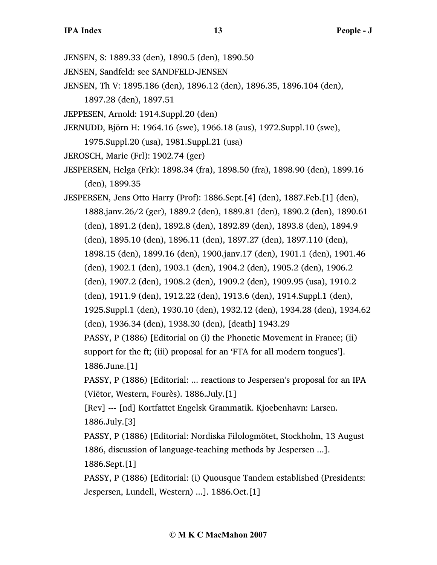- JENSEN, S: 1889.33 (den), 1890.5 (den), 1890.50
- JENSEN, Sandfeld: see SANDFELD-JENSEN
- JENSEN, Th V: 1895.186 (den), 1896.12 (den), 1896.35, 1896.104 (den), 1897.28 (den), 1897.51
- JEPPESEN, Arnold: 1914.Suppl.20 (den)
- JERNUDD, Björn H: 1964.16 (swe), 1966.18 (aus), 1972.Suppl.10 (swe), 1975.Suppl.20 (usa), 1981.Suppl.21 (usa)
- JEROSCH, Marie (Frl): 1902.74 (ger)
- JESPERSEN, Helga (Frk): 1898.34 (fra), 1898.50 (fra), 1898.90 (den), 1899.16 (den), 1899.35

JESPERSEN, Jens Otto Harry (Prof): 1886.Sept.[4] (den), 1887.Feb.[1] (den), 1888.janv.26/2 (ger), 1889.2 (den), 1889.81 (den), 1890.2 (den), 1890.61 (den), 1891.2 (den), 1892.8 (den), 1892.89 (den), 1893.8 (den), 1894.9 (den), 1895.10 (den), 1896.11 (den), 1897.27 (den), 1897.110 (den), 1898.15 (den), 1899.16 (den), 1900.janv.17 (den), 1901.1 (den), 1901.46 (den), 1902.1 (den), 1903.1 (den), 1904.2 (den), 1905.2 (den), 1906.2 (den), 1907.2 (den), 1908.2 (den), 1909.2 (den), 1909.95 (usa), 1910.2 (den), 1911.9 (den), 1912.22 (den), 1913.6 (den), 1914.Suppl.1 (den), 1925.Suppl.1 (den), 1930.10 (den), 1932.12 (den), 1934.28 (den), 1934.62 (den), 1936.34 (den), 1938.30 (den), [death] 1943.29 PASSY, P (1886) [Editorial on (i) the Phonetic Movement in France; (ii) support for the ft; (iii) proposal for an 'FTA for all modern tongues']. 1886.June.[1]

PASSY, P (1886) [Editorial: ... reactions to Jespersen's proposal for an IPA (Viëtor, Western, Fourès). 1886.July.[1]

[Rev] --- [nd] Kortfattet Engelsk Grammatik. Kjoebenhavn: Larsen. 1886.July.[3]

PASSY, P (1886) [Editorial: Nordiska Filologmötet, Stockholm, 13 August 1886, discussion of language-teaching methods by Jespersen ...]. 1886.Sept.[1]

PASSY, P (1886) [Editorial: (i) Quousque Tandem established (Presidents: Jespersen, Lundell, Western) ...]. 1886.Oct.[1]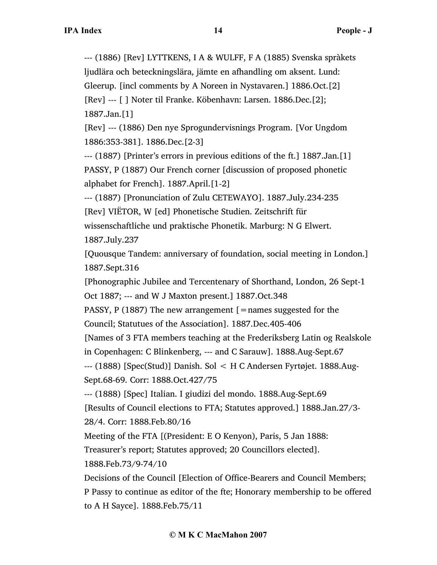--- (1886) [Rev] LYTTKENS, I A & WULFF, F A (1885) Svenska spràkets ljudlära och beteckningslära, jämte en afhandling om aksent. Lund: Gleerup. [incl comments by A Noreen in Nystavaren.] 1886.Oct.[2] [Rev] --- [ ] Noter til Franke. Köbenhavn: Larsen. 1886.Dec.[2];

1887.Jan.[1]

[Rev] --- (1886) Den nye Sprogundervisnings Program. [Vor Ungdom 1886:353-381]. 1886.Dec.[2-3]

--- (1887) [Printer's errors in previous editions of the ft.] 1887.Jan.[1] PASSY, P (1887) Our French corner [discussion of proposed phonetic

alphabet for French]. 1887.April.[1-2]

--- (1887) [Pronunciation of Zulu CETEWAYO]. 1887.July.234-235 [Rev] VIËTOR, W [ed] Phonetische Studien. Zeitschrift für wissenschaftliche und praktische Phonetik. Marburg: N G Elwert. 1887.July.237

[Quousque Tandem: anniversary of foundation, social meeting in London.] 1887.Sept.316

[Phonographic Jubilee and Tercentenary of Shorthand, London, 26 Sept-1 Oct 1887; --- and W J Maxton present.] 1887.Oct.348

PASSY, P (1887) The new arrangement  $[$  = names suggested for the Council; Statutues of the Association]. 1887.Dec.405-406

[Names of 3 FTA members teaching at the Frederiksberg Latin og Realskole

in Copenhagen: C Blinkenberg, --- and C Sarauw]. 1888.Aug-Sept.67

--- (1888) [Spec(Stud)] Danish. Sol < H C Andersen Fyrtøjet. 1888.Aug-Sept.68-69. Corr: 1888.Oct.427/75

--- (1888) [Spec] Italian. I giudizi del mondo. 1888.Aug-Sept.69

[Results of Council elections to FTA; Statutes approved.] 1888.Jan.27/3-

28/4. Corr: 1888.Feb.80/16

Meeting of the FTA [(President: E O Kenyon), Paris, 5 Jan 1888:

Treasurer's report; Statutes approved; 20 Councillors elected].

1888.Feb.73/9-74/10

Decisions of the Council [Election of Office-Bearers and Council Members; P Passy to continue as editor of the fte; Honorary membership to be offered to A H Sayce]. 1888.Feb.75/11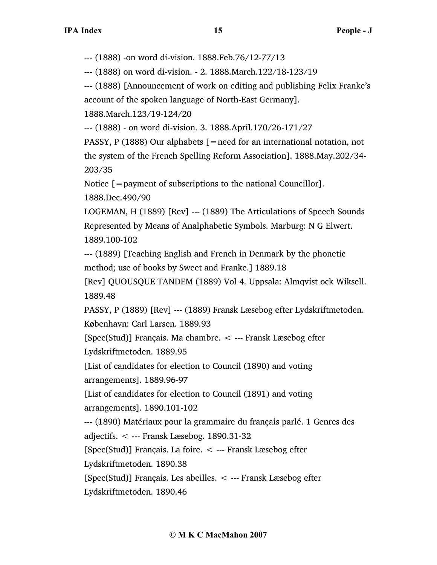--- (1888) -on word di-vision. 1888.Feb.76/12-77/13

--- (1888) on word di-vision. - 2. 1888.March.122/18-123/19

--- (1888) [Announcement of work on editing and publishing Felix Franke's account of the spoken language of North-East Germany].

1888.March.123/19-124/20

--- (1888) - on word di-vision. 3. 1888.April.170/26-171/27

PASSY, P (1888) Our alphabets [=need for an international notation, not the system of the French Spelling Reform Association]. 1888.May.202/34- 203/35

Notice [=payment of subscriptions to the national Councillor].

1888.Dec.490/90

LOGEMAN, H (1889) [Rev] --- (1889) The Articulations of Speech Sounds Represented by Means of Analphabetic Symbols. Marburg: N G Elwert. 1889.100-102

--- (1889) [Teaching English and French in Denmark by the phonetic method; use of books by Sweet and Franke.] 1889.18

[Rev] QUOUSQUE TANDEM (1889) Vol 4. Uppsala: Almqvist ock Wiksell. 1889.48

PASSY, P (1889) [Rev] --- (1889) Fransk Læsebog efter Lydskriftmetoden. København: Carl Larsen. 1889.93

[Spec(Stud)] Français. Ma chambre. < --- Fransk Læsebog efter Lydskriftmetoden. 1889.95

[List of candidates for election to Council (1890) and voting

arrangements]. 1889.96-97

[List of candidates for election to Council (1891) and voting

arrangements]. 1890.101-102

--- (1890) Matériaux pour la grammaire du français parlé. 1 Genres des

adjectifs. < --- Fransk Læsebog. 1890.31-32

[Spec(Stud)] Français. La foire. < --- Fransk Læsebog efter

Lydskriftmetoden. 1890.38

[Spec(Stud)] Français. Les abeilles. < --- Fransk Læsebog efter

Lydskriftmetoden. 1890.46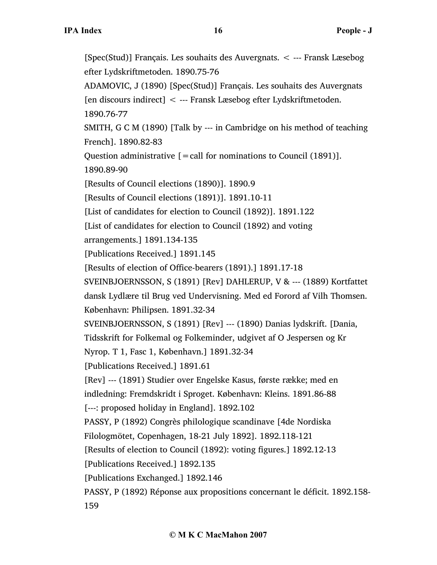[Spec(Stud)] Français. Les souhaits des Auvergnats. < --- Fransk Læsebog efter Lydskriftmetoden. 1890.75-76 ADAMOVIC, J (1890) [Spec(Stud)] Français. Les souhaits des Auvergnats [en discours indirect] < --- Fransk Læsebog efter Lydskriftmetoden. 1890.76-77 SMITH, G C M (1890) [Talk by --- in Cambridge on his method of teaching French]. 1890.82-83 Question administrative  $[=$  call for nominations to Council (1891)]. 1890.89-90 [Results of Council elections (1890)]. 1890.9 [Results of Council elections (1891)]. 1891.10-11 [List of candidates for election to Council (1892)]. 1891.122 [List of candidates for election to Council (1892) and voting arrangements.] 1891.134-135 [Publications Received.] 1891.145 [Results of election of Office-bearers (1891).] 1891.17-18 SVEINBJOERNSSON, S (1891) [Rev] DAHLERUP, V & --- (1889) Kortfattet dansk Lydlære til Brug ved Undervisning. Med ed Forord af Vilh Thomsen. København: Philipsen. 1891.32-34 SVEINBJOERNSSON, S (1891) [Rev] --- (1890) Danias lydskrift. [Dania, Tidsskrift for Folkemal og Folkeminder, udgivet af O Jespersen og Kr Nyrop. T 1, Fasc 1, København.] 1891.32-34 [Publications Received.] 1891.61 [Rev] --- (1891) Studier over Engelske Kasus, første række; med en indledning: Fremdskridt i Sproget. København: Kleins. 1891.86-88 [---: proposed holiday in England]. 1892.102 PASSY, P (1892) Congrès philologique scandinave [4de Nordiska Filologmötet, Copenhagen, 18-21 July 1892]. 1892.118-121 [Results of election to Council (1892): voting figures.] 1892.12-13 [Publications Received.] 1892.135 [Publications Exchanged.] 1892.146 PASSY, P (1892) Réponse aux propositions concernant le déficit. 1892.158- 159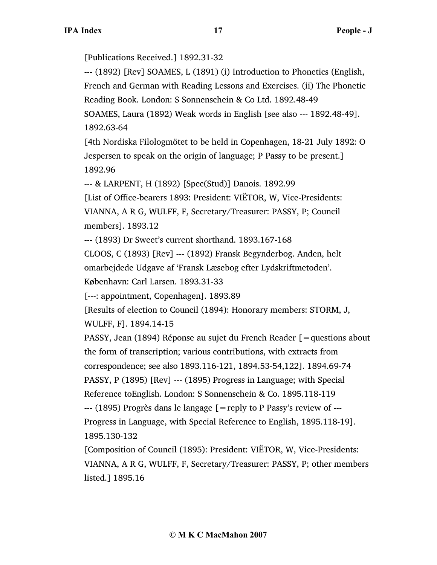[Publications Received.] 1892.31-32

--- (1892) [Rev] SOAMES, L (1891) (i) Introduction to Phonetics (English,

French and German with Reading Lessons and Exercises. (ii) The Phonetic

Reading Book. London: S Sonnenschein & Co Ltd. 1892.48-49

SOAMES, Laura (1892) Weak words in English [see also --- 1892.48-49]. 1892.63-64

[4th Nordiska Filologmötet to be held in Copenhagen, 18-21 July 1892: O Jespersen to speak on the origin of language; P Passy to be present.] 1892.96

--- & LARPENT, H (1892) [Spec(Stud)] Danois. 1892.99

[List of Office-bearers 1893: President: VIËTOR, W, Vice-Presidents: VIANNA, A R G, WULFF, F, Secretary/Treasurer: PASSY, P; Council members]. 1893.12

--- (1893) Dr Sweet's current shorthand. 1893.167-168

CLOOS, C (1893) [Rev] --- (1892) Fransk Begynderbog. Anden, helt omarbejdede Udgave af 'Fransk Læsebog efter Lydskriftmetoden'.

København: Carl Larsen. 1893.31-33

[---: appointment, Copenhagen]. 1893.89

[Results of election to Council (1894): Honorary members: STORM, J, WULFF, F]. 1894.14-15

PASSY, Jean (1894) Réponse au sujet du French Reader [=questions about the form of transcription; various contributions, with extracts from correspondence; see also 1893.116-121, 1894.53-54,122]. 1894.69-74 PASSY, P (1895) [Rev] --- (1895) Progress in Language; with Special

Reference toEnglish. London: S Sonnenschein & Co. 1895.118-119

--- (1895) Progrès dans le langage [=reply to P Passy's review of --- Progress in Language, with Special Reference to English, 1895.118-19]. 1895.130-132

[Composition of Council (1895): President: VIËTOR, W, Vice-Presidents: VIANNA, A R G, WULFF, F, Secretary/Treasurer: PASSY, P; other members listed.] 1895.16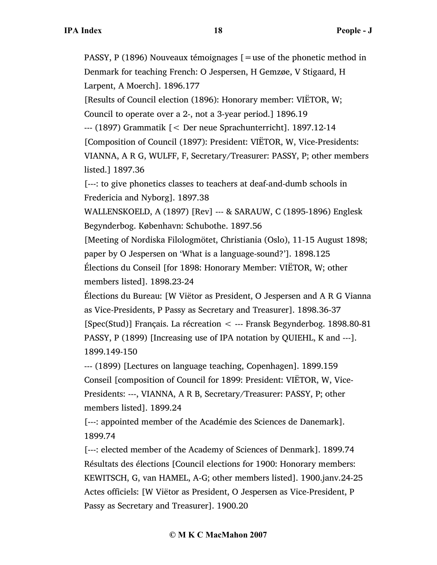PASSY, P (1896) Nouveaux témoignages [=use of the phonetic method in Denmark for teaching French: O Jespersen, H Gemzøe, V Stigaard, H Larpent, A Moerch]. 1896.177

[Results of Council election (1896): Honorary member: VIËTOR, W;

Council to operate over a 2-, not a 3-year period.] 1896.19

--- (1897) Grammatik [< Der neue Sprachunterricht]. 1897.12-14

[Composition of Council (1897): President: VIËTOR, W, Vice-Presidents:

VIANNA, A R G, WULFF, F, Secretary/Treasurer: PASSY, P; other members listed.] 1897.36

[---: to give phonetics classes to teachers at deaf-and-dumb schools in Fredericia and Nyborg]. 1897.38

WALLENSKOELD, A (1897) [Rev] --- & SARAUW, C (1895-1896) Englesk Begynderbog. København: Schubothe. 1897.56

[Meeting of Nordiska Filologmötet, Christiania (Oslo), 11-15 August 1898; paper by O Jespersen on 'What is a language-sound?']. 1898.125 Élections du Conseil [for 1898: Honorary Member: VIËTOR, W; other members listed]. 1898.23-24

Élections du Bureau: [W Viëtor as President, O Jespersen and A R G Vianna as Vice-Presidents, P Passy as Secretary and Treasurer]. 1898.36-37 [Spec(Stud)] Français. La récreation < --- Fransk Begynderbog. 1898.80-81 PASSY, P (1899) [Increasing use of IPA notation by QUIEHL, K and ---]. 1899.149-150

--- (1899) [Lectures on language teaching, Copenhagen]. 1899.159 Conseil [composition of Council for 1899: President: VIËTOR, W, Vice-Presidents: ---, VIANNA, A R B, Secretary/Treasurer: PASSY, P; other members listed]. 1899.24

[---: appointed member of the Académie des Sciences de Danemark]. 1899.74

[---: elected member of the Academy of Sciences of Denmark]. 1899.74 Résultats des élections [Council elections for 1900: Honorary members: KEWITSCH, G, van HAMEL, A-G; other members listed]. 1900.janv.24-25 Actes officiels: [W Viëtor as President, O Jespersen as Vice-President, P Passy as Secretary and Treasurer]. 1900.20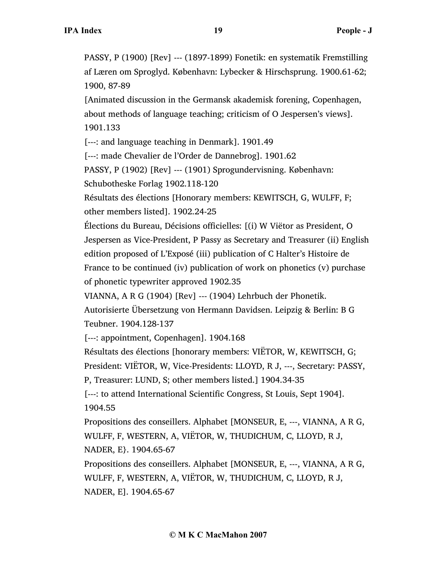PASSY, P (1900) [Rev] --- (1897-1899) Fonetik: en systematik Fremstilling af Læren om Sproglyd. København: Lybecker & Hirschsprung. 1900.61-62; 1900, 87-89

[Animated discussion in the Germansk akademisk forening, Copenhagen, about methods of language teaching; criticism of O Jespersen's views]. 1901.133

[---: and language teaching in Denmark]. 1901.49

[---: made Chevalier de l'Order de Dannebrog]. 1901.62

PASSY, P (1902) [Rev] --- (1901) Sprogundervisning. København: Schubotheske Forlag 1902.118-120

Résultats des élections [Honorary members: KEWITSCH, G, WULFF, F; other members listed]. 1902.24-25

Élections du Bureau, Décisions officielles: [(i) W Viëtor as President, O Jespersen as Vice-President, P Passy as Secretary and Treasurer (ii) English edition proposed of L'Exposé (iii) publication of C Halter's Histoire de France to be continued (iv) publication of work on phonetics (v) purchase of phonetic typewriter approved 1902.35

VIANNA, A R G (1904) [Rev] --- (1904) Lehrbuch der Phonetik.

Autorisierte Übersetzung von Hermann Davidsen. Leipzig & Berlin: B G Teubner. 1904.128-137

[---: appointment, Copenhagen]. 1904.168

Résultats des élections [honorary members: VIËTOR, W, KEWITSCH, G; President: VIËTOR, W, Vice-Presidents: LLOYD, R J, ---, Secretary: PASSY,

P, Treasurer: LUND, S; other members listed.] 1904.34-35

[---: to attend International Scientific Congress, St Louis, Sept 1904]. 1904.55

Propositions des conseillers. Alphabet [MONSEUR, E, ---, VIANNA, A R G, WULFF, F, WESTERN, A, VIËTOR, W, THUDICHUM, C, LLOYD, R J, NADER, E}. 1904.65-67

Propositions des conseillers. Alphabet [MONSEUR, E, ---, VIANNA, A R G, WULFF, F, WESTERN, A, VIËTOR, W, THUDICHUM, C, LLOYD, R J, NADER, E]. 1904.65-67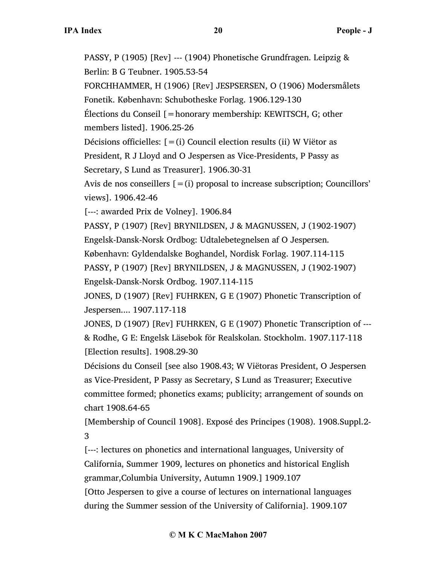PASSY, P (1905) [Rev] --- (1904) Phonetische Grundfragen. Leipzig & Berlin: B G Teubner. 1905.53-54 FORCHHAMMER, H (1906) [Rev] JESPSERSEN, O (1906) Modersmålets Fonetik. København: Schubotheske Forlag. 1906.129-130 Élections du Conseil [=honorary membership: KEWITSCH, G; other members listed]. 1906.25-26 Décisions officielles:  $[=(i)$  Council election results (ii) W Viëtor as President, R J Lloyd and O Jespersen as Vice-Presidents, P Passy as Secretary, S Lund as Treasurer]. 1906.30-31 Avis de nos conseillers  $[=(i)$  proposal to increase subscription; Councillors' views]. 1906.42-46 [---: awarded Prix de Volney]. 1906.84 PASSY, P (1907) [Rev] BRYNILDSEN, J & MAGNUSSEN, J (1902-1907) Engelsk-Dansk-Norsk Ordbog: Udtalebetegnelsen af O Jespersen. København: Gyldendalske Boghandel, Nordisk Forlag. 1907.114-115 PASSY, P (1907) [Rev] BRYNILDSEN, J & MAGNUSSEN, J (1902-1907) Engelsk-Dansk-Norsk Ordbog. 1907.114-115 JONES, D (1907) [Rev] FUHRKEN, G E (1907) Phonetic Transcription of Jespersen.... 1907.117-118 JONES, D (1907) [Rev] FUHRKEN, G E (1907) Phonetic Transcription of --- & Rodhe, G E: Engelsk Läsebok för Realskolan. Stockholm. 1907.117-118 [Election results]. 1908.29-30 Décisions du Conseil [see also 1908.43; W Viëtoras President, O Jespersen as Vice-President, P Passy as Secretary, S Lund as Treasurer; Executive committee formed; phonetics exams; publicity; arrangement of sounds on chart 1908.64-65 [Membership of Council 1908]. Exposé des Principes (1908). 1908.Suppl.2- 3 [---: lectures on phonetics and international languages, University of California, Summer 1909, lectures on phonetics and historical English grammar,Columbia University, Autumn 1909.] 1909.107

[Otto Jespersen to give a course of lectures on international languages during the Summer session of the University of California]. 1909.107

#### **© M K C MacMahon 2007**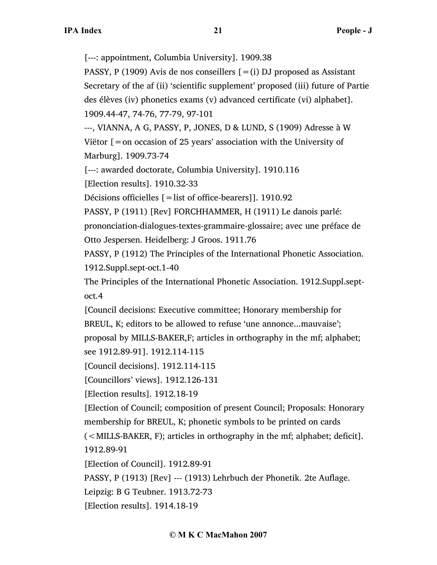[---: appointment, Columbia University]. 1909.38

PASSY, P (1909) Avis de nos conseillers  $[=(i)$  DJ proposed as Assistant Secretary of the af (ii) 'scientific supplement' proposed (iii) future of Partie des élèves (iv) phonetics exams (v) advanced certificate (vi) alphabet]. 1909.44-47, 74-76, 77-79, 97-101

---, VIANNA, A G, PASSY, P, JONES, D & LUND, S (1909) Adresse à W Viëtor  $\mathfrak{f}$  = on occasion of 25 years' association with the University of

Marburg]. 1909.73-74

[---: awarded doctorate, Columbia University]. 1910.116

[Election results]. 1910.32-33

Décisions officielles [=list of office-bearers]]. 1910.92

PASSY, P (1911) [Rev] FORCHHAMMER, H (1911) Le danois parlé:

prononciation-dialogues-textes-grammaire-glossaire; avec une préface de Otto Jespersen. Heidelberg: J Groos. 1911.76

PASSY, P (1912) The Principles of the International Phonetic Association. 1912.Suppl.sept-oct.1-40

The Principles of the International Phonetic Association. 1912.Suppl.septoct.4

[Council decisions: Executive committee; Honorary membership for BREUL, K; editors to be allowed to refuse 'une annonce...mauvaise'; proposal by MILLS-BAKER,F; articles in orthography in the mf; alphabet; see 1912.89-91]. 1912.114-115

[Council decisions]. 1912.114-115

[Councillors' views]. 1912.126-131

[Election results]. 1912.18-19

[Election of Council; composition of present Council; Proposals: Honorary membership for BREUL, K; phonetic symbols to be printed on cards

(<MILLS-BAKER, F); articles in orthography in the mf; alphabet; deficit]. 1912.89-91

[Election of Council]. 1912.89-91

PASSY, P (1913) [Rev] --- (1913) Lehrbuch der Phonetik. 2te Auflage.

Leipzig: B G Teubner. 1913.72-73

[Election results]. 1914.18-19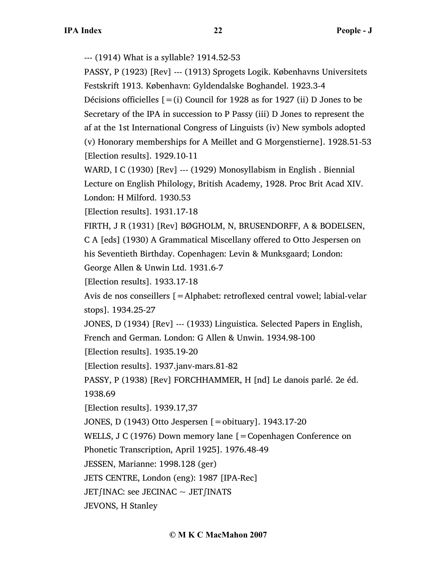--- (1914) What is a syllable? 1914.52-53

PASSY, P (1923) [Rev] --- (1913) Sprogets Logik. Københavns Universitets Festskrift 1913. København: Gyldendalske Boghandel. 1923.3-4

Décisions officielles  $[=(i)$  Council for 1928 as for 1927 (ii) D Jones to be Secretary of the IPA in succession to P Passy (iii) D Jones to represent the af at the 1st International Congress of Linguists (iv) New symbols adopted (v) Honorary memberships for A Meillet and G Morgenstierne]. 1928.51-53 [Election results]. 1929.10-11

WARD, I C (1930) [Rev] --- (1929) Monosyllabism in English . Biennial Lecture on English Philology, British Academy, 1928. Proc Brit Acad XIV. London: H Milford. 1930.53

[Election results]. 1931.17-18

FIRTH, J R (1931) [Rev] BØGHOLM, N, BRUSENDORFF, A & BODELSEN, C A [eds] (1930) A Grammatical Miscellany offered to Otto Jespersen on his Seventieth Birthday. Copenhagen: Levin & Munksgaard; London: George Allen & Unwin Ltd. 1931.6-7

[Election results]. 1933.17-18

Avis de nos conseillers [=Alphabet: retroflexed central vowel; labial-velar stops]. 1934.25-27

JONES, D (1934) [Rev] --- (1933) Linguistica. Selected Papers in English, French and German. London: G Allen & Unwin. 1934.98-100

[Election results]. 1935.19-20

[Election results]. 1937.janv-mars.81-82

PASSY, P (1938) [Rev] FORCHHAMMER, H [nd] Le danois parlé. 2e éd. 1938.69

[Election results]. 1939.17,37

JONES, D (1943) Otto Jespersen [=obituary]. 1943.17-20

WELLS, J C (1976) Down memory lane [ = Copenhagen Conference on

Phonetic Transcription, April 1925]. 1976.48-49

JESSEN, Marianne: 1998.128 (ger)

JETS CENTRE, London (eng): 1987 [IPA-Rec]

JET∫INAC: see JECINAC ~ JET∫INATS

JEVONS, H Stanley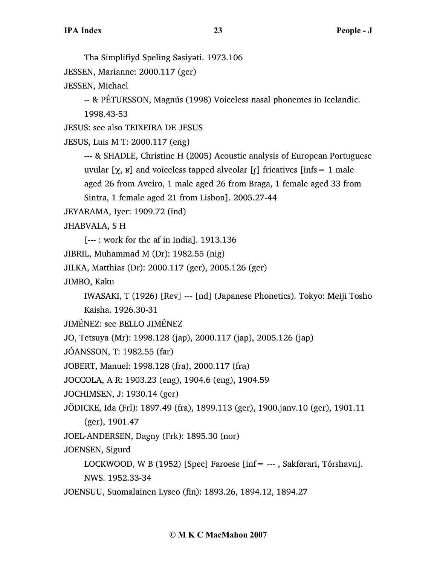Thə Simplifiyd Speling Səsiyəti. 1973.106 JESSEN, Marianne: 2000.117 (ger) JESSEN, Michael -- & PÉTURSSON, Magnús (1998) Voiceless nasal phonemes in Icelandic. 1998.43-53 JESUS: see also TEIXEIRA DE JESUS JESUS, Luis M T: 2000.117 (eng) --- & SHADLE, Christine H (2005) Acoustic analysis of European Portuguese uvular [ $\chi$ ,  $\kappa$ ] and voiceless tapped alveolar [ $\iota$ ] fricatives [infs = 1 male aged 26 from Aveiro, 1 male aged 26 from Braga, 1 female aged 33 from Sintra, 1 female aged 21 from Lisbon]. 2005.27-44 JEYARAMA, Iyer: 1909.72 (ind) JHABVALA, S H [--- : work for the af in India]. 1913.136 JIBRIL, Muhammad M (Dr): 1982.55 (nig) JILKA, Matthias (Dr): 2000.117 (ger), 2005.126 (ger) JIMBO, Kaku IWASAKI, T (1926) [Rev] --- [nd] (Japanese Phonetics). Tokyo: Meiji Tosho Kaisha. 1926.30-31 JIMÉNEZ: see BELLO JIMÉNEZ JO, Tetsuya (Mr): 1998.128 (jap), 2000.117 (jap), 2005.126 (jap) JÓANSSON, T: 1982.55 (far) JOBERT, Manuel: 1998.128 (fra), 2000.117 (fra) JOCCOLA, A R: 1903.23 (eng), 1904.6 (eng), 1904.59 JOCHIMSEN, J: 1930.14 (ger) JÖDICKE, Ida (Frl): 1897.49 (fra), 1899.113 (ger), 1900.janv.10 (ger), 1901.11 (ger), 1901.47 JOEL-ANDERSEN, Dagny (Frk): 1895.30 (nor) JOENSEN, Sigurd LOCKWOOD, W B (1952) [Spec] Faroese [inf= --- , Sakførari, Tórshavn]. NWS. 1952.33-34 JOENSUU, Suomalainen Lyseo (fin): 1893.26, 1894.12, 1894.27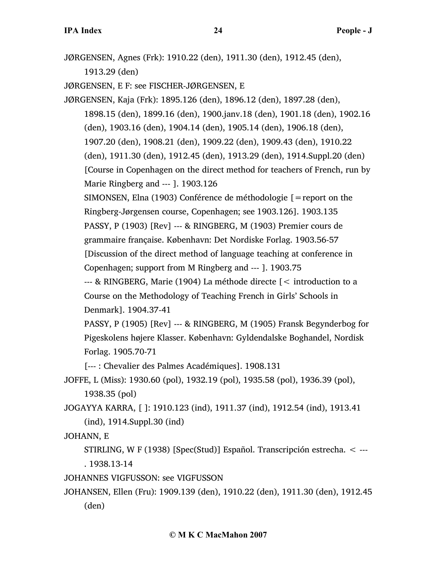JØRGENSEN, Agnes (Frk): 1910.22 (den), 1911.30 (den), 1912.45 (den), 1913.29 (den) JØRGENSEN, E F: see FISCHER-JØRGENSEN, E JØRGENSEN, Kaja (Frk): 1895.126 (den), 1896.12 (den), 1897.28 (den), 1898.15 (den), 1899.16 (den), 1900.janv.18 (den), 1901.18 (den), 1902.16 (den), 1903.16 (den), 1904.14 (den), 1905.14 (den), 1906.18 (den), 1907.20 (den), 1908.21 (den), 1909.22 (den), 1909.43 (den), 1910.22 (den), 1911.30 (den), 1912.45 (den), 1913.29 (den), 1914.Suppl.20 (den) [Course in Copenhagen on the direct method for teachers of French, run by Marie Ringberg and --- ]. 1903.126 SIMONSEN, Elna (1903) Conférence de méthodologie  $\mathfrak{[}=$  report on the Ringberg-Jørgensen course, Copenhagen; see 1903.126]. 1903.135 PASSY, P (1903) [Rev] --- & RINGBERG, M (1903) Premier cours de grammaire française. København: Det Nordiske Forlag. 1903.56-57 [Discussion of the direct method of language teaching at conference in Copenhagen; support from M Ringberg and --- ]. 1903.75 --- & RINGBERG, Marie (1904) La méthode directe [< introduction to a Course on the Methodology of Teaching French in Girls' Schools in Denmark]. 1904.37-41 PASSY, P (1905) [Rev] --- & RINGBERG, M (1905) Fransk Begynderbog for Pigeskolens højere Klasser. København: Gyldendalske Boghandel, Nordisk Forlag. 1905.70-71 [--- : Chevalier des Palmes Académiques]. 1908.131 JOFFE, L (Miss): 1930.60 (pol), 1932.19 (pol), 1935.58 (pol), 1936.39 (pol), 1938.35 (pol) JOGAYYA KARRA, [ ]: 1910.123 (ind), 1911.37 (ind), 1912.54 (ind), 1913.41 (ind), 1914.Suppl.30 (ind) JOHANN, E

STIRLING, W F (1938) [Spec(Stud)] Español. Transcripción estrecha. < --- . 1938.13-14

JOHANNES VIGFUSSON: see VIGFUSSON

JOHANSEN, Ellen (Fru): 1909.139 (den), 1910.22 (den), 1911.30 (den), 1912.45 (den)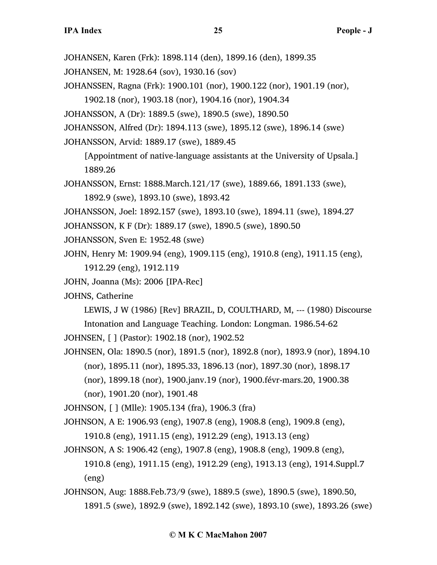- JOHANSEN, Karen (Frk): 1898.114 (den), 1899.16 (den), 1899.35
- JOHANSEN, M: 1928.64 (sov), 1930.16 (sov)
- JOHANSSEN, Ragna (Frk): 1900.101 (nor), 1900.122 (nor), 1901.19 (nor),
	- 1902.18 (nor), 1903.18 (nor), 1904.16 (nor), 1904.34
- JOHANSSON, A (Dr): 1889.5 (swe), 1890.5 (swe), 1890.50
- JOHANSSON, Alfred (Dr): 1894.113 (swe), 1895.12 (swe), 1896.14 (swe)
- JOHANSSON, Arvid: 1889.17 (swe), 1889.45
	- [Appointment of native-language assistants at the University of Upsala.] 1889.26
- JOHANSSON, Ernst: 1888.March.121/17 (swe), 1889.66, 1891.133 (swe), 1892.9 (swe), 1893.10 (swe), 1893.42
- JOHANSSON, Joel: 1892.157 (swe), 1893.10 (swe), 1894.11 (swe), 1894.27
- JOHANSSON, K F (Dr): 1889.17 (swe), 1890.5 (swe), 1890.50
- JOHANSSON, Sven E: 1952.48 (swe)
- JOHN, Henry M: 1909.94 (eng), 1909.115 (eng), 1910.8 (eng), 1911.15 (eng), 1912.29 (eng), 1912.119
- JOHN, Joanna (Ms): 2006 [IPA-Rec]
- JOHNS, Catherine
	- LEWIS, J W (1986) [Rev] BRAZIL, D, COULTHARD, M, --- (1980) Discourse
	- Intonation and Language Teaching. London: Longman. 1986.54-62

JOHNSEN, [ ] (Pastor): 1902.18 (nor), 1902.52

- JOHNSEN, Ola: 1890.5 (nor), 1891.5 (nor), 1892.8 (nor), 1893.9 (nor), 1894.10 (nor), 1895.11 (nor), 1895.33, 1896.13 (nor), 1897.30 (nor), 1898.17
	- (nor), 1899.18 (nor), 1900.janv.19 (nor), 1900.févr-mars.20, 1900.38
	- (nor), 1901.20 (nor), 1901.48
- JOHNSON, [ ] (Mlle): 1905.134 (fra), 1906.3 (fra)
- JOHNSON, A E: 1906.93 (eng), 1907.8 (eng), 1908.8 (eng), 1909.8 (eng), 1910.8 (eng), 1911.15 (eng), 1912.29 (eng), 1913.13 (eng)
- JOHNSON, A S: 1906.42 (eng), 1907.8 (eng), 1908.8 (eng), 1909.8 (eng), 1910.8 (eng), 1911.15 (eng), 1912.29 (eng), 1913.13 (eng), 1914.Suppl.7 (eng)
- JOHNSON, Aug: 1888.Feb.73/9 (swe), 1889.5 (swe), 1890.5 (swe), 1890.50, 1891.5 (swe), 1892.9 (swe), 1892.142 (swe), 1893.10 (swe), 1893.26 (swe)

#### **© M K C MacMahon 2007**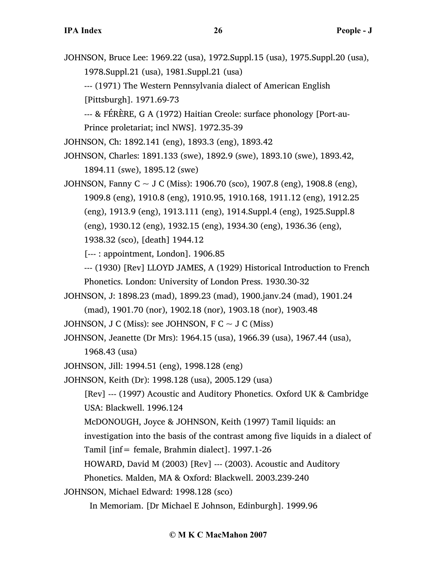JOHNSON, Bruce Lee: 1969.22 (usa), 1972.Suppl.15 (usa), 1975.Suppl.20 (usa), 1978.Suppl.21 (usa), 1981.Suppl.21 (usa)

--- (1971) The Western Pennsylvania dialect of American English [Pittsburgh]. 1971.69-73

--- & FÉRÈRE, G A (1972) Haitian Creole: surface phonology [Port-au-Prince proletariat; incl NWS]. 1972.35-39

JOHNSON, Ch: 1892.141 (eng), 1893.3 (eng), 1893.42

JOHNSON, Charles: 1891.133 (swe), 1892.9 (swe), 1893.10 (swe), 1893.42, 1894.11 (swe), 1895.12 (swe)

JOHNSON, Fanny C ~ J C (Miss): 1906.70 (sco), 1907.8 (eng), 1908.8 (eng), 1909.8 (eng), 1910.8 (eng), 1910.95, 1910.168, 1911.12 (eng), 1912.25 (eng), 1913.9 (eng), 1913.111 (eng), 1914.Suppl.4 (eng), 1925.Suppl.8 (eng), 1930.12 (eng), 1932.15 (eng), 1934.30 (eng), 1936.36 (eng),

1938.32 (sco), [death] 1944.12

[--- : appointment, London]. 1906.85

--- (1930) [Rev] LLOYD JAMES, A (1929) Historical Introduction to French Phonetics. London: University of London Press. 1930.30-32

JOHNSON, J: 1898.23 (mad), 1899.23 (mad), 1900.janv.24 (mad), 1901.24

(mad), 1901.70 (nor), 1902.18 (nor), 1903.18 (nor), 1903.48

JOHNSON, J C (Miss): see JOHNSON, F C  $\sim$  J C (Miss)

JOHNSON, Jeanette (Dr Mrs): 1964.15 (usa), 1966.39 (usa), 1967.44 (usa), 1968.43 (usa)

JOHNSON, Jill: 1994.51 (eng), 1998.128 (eng)

JOHNSON, Keith (Dr): 1998.128 (usa), 2005.129 (usa)

[Rev] --- (1997) Acoustic and Auditory Phonetics. Oxford UK & Cambridge USA: Blackwell. 1996.124

McDONOUGH, Joyce & JOHNSON, Keith (1997) Tamil liquids: an

investigation into the basis of the contrast among five liquids in a dialect of

Tamil [inf= female, Brahmin dialect]. 1997.1-26

HOWARD, David M (2003) [Rev] --- (2003). Acoustic and Auditory

Phonetics. Malden, MA & Oxford: Blackwell. 2003.239-240

JOHNSON, Michael Edward: 1998.128 (sco)

In Memoriam. [Dr Michael E Johnson, Edinburgh]. 1999.96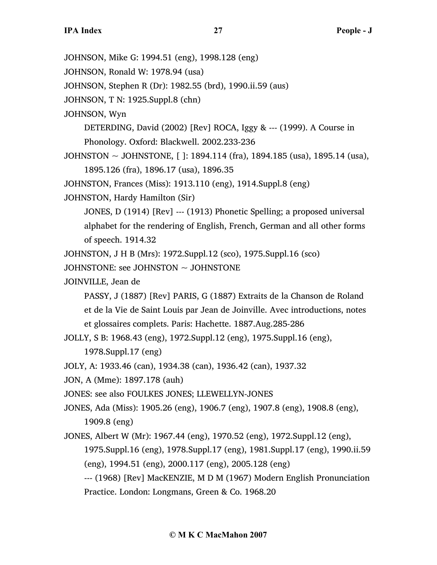JOHNSON, Mike G: 1994.51 (eng), 1998.128 (eng)

JOHNSON, Ronald W: 1978.94 (usa)

JOHNSON, Stephen R (Dr): 1982.55 (brd), 1990.ii.59 (aus)

JOHNSON, T N: 1925.Suppl.8 (chn)

JOHNSON, Wyn

DETERDING, David (2002) [Rev] ROCA, Iggy & --- (1999). A Course in Phonology. Oxford: Blackwell. 2002.233-236

JOHNSTON ~ JOHNSTONE, [ ]: 1894.114 (fra), 1894.185 (usa), 1895.14 (usa), 1895.126 (fra), 1896.17 (usa), 1896.35

JOHNSTON, Frances (Miss): 1913.110 (eng), 1914.Suppl.8 (eng)

JOHNSTON, Hardy Hamilton (Sir)

JONES, D (1914) [Rev] --- (1913) Phonetic Spelling; a proposed universal alphabet for the rendering of English, French, German and all other forms of speech. 1914.32

JOHNSTON, J H B (Mrs): 1972.Suppl.12 (sco), 1975.Suppl.16 (sco)

JOHNSTONE: see JOHNSTON ~ JOHNSTONE

JOINVILLE, Jean de

PASSY, J (1887) [Rev] PARIS, G (1887) Extraits de la Chanson de Roland et de la Vie de Saint Louis par Jean de Joinville. Avec introductions, notes et glossaires complets. Paris: Hachette. 1887.Aug.285-286

JOLLY, S B: 1968.43 (eng), 1972.Suppl.12 (eng), 1975.Suppl.16 (eng),

1978.Suppl.17 (eng)

JOLY, A: 1933.46 (can), 1934.38 (can), 1936.42 (can), 1937.32

JON, A (Mme): 1897.178 (auh)

JONES: see also FOULKES JONES; LLEWELLYN-JONES

JONES, Ada (Miss): 1905.26 (eng), 1906.7 (eng), 1907.8 (eng), 1908.8 (eng), 1909.8 (eng)

JONES, Albert W (Mr): 1967.44 (eng), 1970.52 (eng), 1972.Suppl.12 (eng), 1975.Suppl.16 (eng), 1978.Suppl.17 (eng), 1981.Suppl.17 (eng), 1990.ii.59 (eng), 1994.51 (eng), 2000.117 (eng), 2005.128 (eng)

--- (1968) [Rev] MacKENZIE, M D M (1967) Modern English Pronunciation Practice. London: Longmans, Green & Co. 1968.20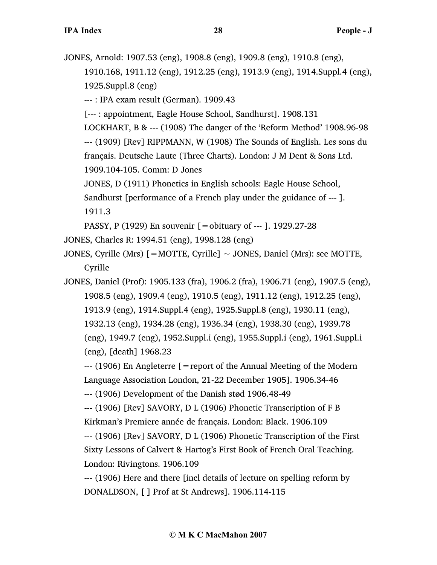JONES, Arnold: 1907.53 (eng), 1908.8 (eng), 1909.8 (eng), 1910.8 (eng), 1910.168, 1911.12 (eng), 1912.25 (eng), 1913.9 (eng), 1914.Suppl.4 (eng), 1925.Suppl.8 (eng) --- : IPA exam result (German). 1909.43 [--- : appointment, Eagle House School, Sandhurst]. 1908.131 LOCKHART, B & --- (1908) The danger of the 'Reform Method' 1908.96-98 --- (1909) [Rev] RIPPMANN, W (1908) The Sounds of English. Les sons du français. Deutsche Laute (Three Charts). London: J M Dent & Sons Ltd. 1909.104-105. Comm: D Jones JONES, D (1911) Phonetics in English schools: Eagle House School, Sandhurst [performance of a French play under the guidance of --- ]. 1911.3 PASSY, P (1929) En souvenir [=obituary of --- ]. 1929.27-28 JONES, Charles R: 1994.51 (eng), 1998.128 (eng) JONES, Cyrille (Mrs) [=MOTTE, Cyrille]  $\sim$  JONES, Daniel (Mrs): see MOTTE, Cyrille JONES, Daniel (Prof): 1905.133 (fra), 1906.2 (fra), 1906.71 (eng), 1907.5 (eng), 1908.5 (eng), 1909.4 (eng), 1910.5 (eng), 1911.12 (eng), 1912.25 (eng), 1913.9 (eng), 1914.Suppl.4 (eng), 1925.Suppl.8 (eng), 1930.11 (eng), 1932.13 (eng), 1934.28 (eng), 1936.34 (eng), 1938.30 (eng), 1939.78 (eng), 1949.7 (eng), 1952.Suppl.i (eng), 1955.Suppl.i (eng), 1961.Suppl.i (eng), [death] 1968.23  $-$ --- (1906) En Angleterre  $\beta$  = report of the Annual Meeting of the Modern Language Association London, 21-22 December 1905]. 1906.34-46 --- (1906) Development of the Danish stød 1906.48-49 --- (1906) [Rev] SAVORY, D L (1906) Phonetic Transcription of F B Kirkman's Premiere année de français. London: Black. 1906.109 --- (1906) [Rev] SAVORY, D L (1906) Phonetic Transcription of the First Sixty Lessons of Calvert & Hartog's First Book of French Oral Teaching. London: Rivingtons. 1906.109 --- (1906) Here and there [incl details of lecture on spelling reform by DONALDSON, [ ] Prof at St Andrews]. 1906.114-115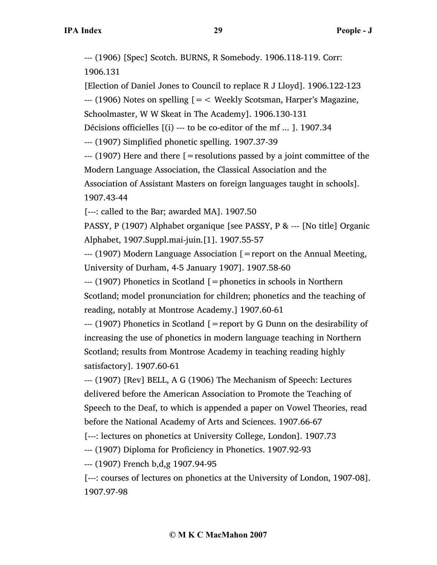--- (1906) [Spec] Scotch. BURNS, R Somebody. 1906.118-119. Corr: 1906.131

[Election of Daniel Jones to Council to replace R J Lloyd]. 1906.122-123

 $-$ -- (1906) Notes on spelling  $=$   $\leq$  Weekly Scotsman, Harper's Magazine,

Schoolmaster, W W Skeat in The Academy]. 1906.130-131

Décisions officielles [(i) --- to be co-editor of the mf ... ]. 1907.34

--- (1907) Simplified phonetic spelling. 1907.37-39

--- (1907) Here and there [=resolutions passed by a joint committee of the Modern Language Association, the Classical Association and the

Association of Assistant Masters on foreign languages taught in schools]. 1907.43-44

[---: called to the Bar; awarded MA]. 1907.50

PASSY, P (1907) Alphabet organique [see PASSY, P & --- [No title] Organic Alphabet, 1907.Suppl.mai-juin.[1]. 1907.55-57

--- (1907) Modern Language Association [=report on the Annual Meeting, University of Durham, 4-5 January 1907]. 1907.58-60

--- (1907) Phonetics in Scotland [=phonetics in schools in Northern Scotland; model pronunciation for children; phonetics and the teaching of reading, notably at Montrose Academy.] 1907.60-61

--- (1907) Phonetics in Scotland [=report by G Dunn on the desirability of increasing the use of phonetics in modern language teaching in Northern Scotland; results from Montrose Academy in teaching reading highly satisfactory]. 1907.60-61

--- (1907) [Rev] BELL, A G (1906) The Mechanism of Speech: Lectures delivered before the American Association to Promote the Teaching of Speech to the Deaf, to which is appended a paper on Vowel Theories, read before the National Academy of Arts and Sciences. 1907.66-67

[---: lectures on phonetics at University College, London]. 1907.73

--- (1907) Diploma for Proficiency in Phonetics. 1907.92-93

--- (1907) French b,d,g 1907.94-95

[---: courses of lectures on phonetics at the University of London, 1907-08]. 1907.97-98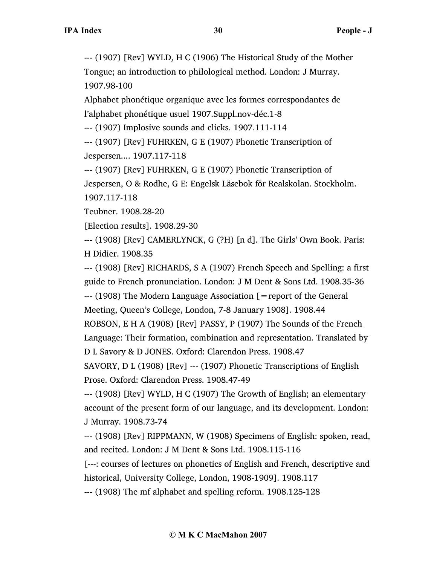--- (1907) [Rev] WYLD, H C (1906) The Historical Study of the Mother Tongue; an introduction to philological method. London: J Murray. 1907.98-100

Alphabet phonétique organique avec les formes correspondantes de l'alphabet phonétique usuel 1907.Suppl.nov-déc.1-8

--- (1907) Implosive sounds and clicks. 1907.111-114

--- (1907) [Rev] FUHRKEN, G E (1907) Phonetic Transcription of Jespersen.... 1907.117-118

--- (1907) [Rev] FUHRKEN, G E (1907) Phonetic Transcription of Jespersen, O & Rodhe, G E: Engelsk Läsebok för Realskolan. Stockholm. 1907.117-118

Teubner. 1908.28-20

[Election results]. 1908.29-30

--- (1908) [Rev] CAMERLYNCK, G (?H) [n d]. The Girls' Own Book. Paris: H Didier. 1908.35

--- (1908) [Rev] RICHARDS, S A (1907) French Speech and Spelling: a first guide to French pronunciation. London: J M Dent & Sons Ltd. 1908.35-36  $-$ --- (1908) The Modern Language Association  $\mathfrak{[}=$  report of the General Meeting, Queen's College, London, 7-8 January 1908]. 1908.44 ROBSON, E H A (1908) [Rev] PASSY, P (1907) The Sounds of the French

Language: Their formation, combination and representation. Translated by

D L Savory & D JONES. Oxford: Clarendon Press. 1908.47

SAVORY, D L (1908) [Rev] --- (1907) Phonetic Transcriptions of English Prose. Oxford: Clarendon Press. 1908.47-49

--- (1908) [Rev] WYLD, H C (1907) The Growth of English; an elementary account of the present form of our language, and its development. London: J Murray. 1908.73-74

--- (1908) [Rev] RIPPMANN, W (1908) Specimens of English: spoken, read, and recited. London: J M Dent & Sons Ltd. 1908.115-116

[---: courses of lectures on phonetics of English and French, descriptive and historical, University College, London, 1908-1909]. 1908.117

--- (1908) The mf alphabet and spelling reform. 1908.125-128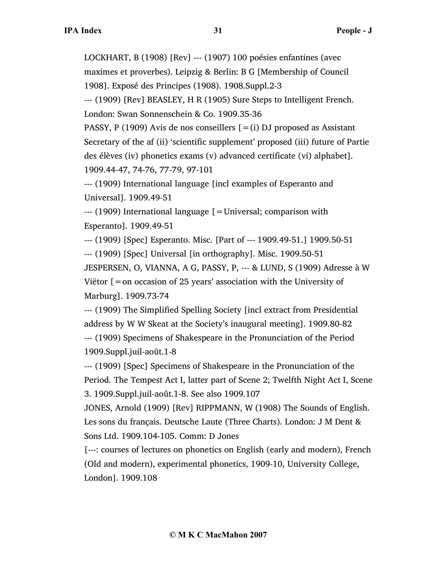LOCKHART, B (1908) [Rev] --- (1907) 100 poésies enfantines (avec maximes et proverbes). Leipzig & Berlin: B G [Membership of Council 1908]. Exposé des Principes (1908). 1908.Suppl.2-3

--- (1909) [Rev] BEASLEY, H R (1905) Sure Steps to Intelligent French. London: Swan Sonnenschein & Co. 1909.35-36

PASSY, P (1909) Avis de nos conseillers  $[=(i)$  DJ proposed as Assistant Secretary of the af (ii) 'scientific supplement' proposed (iii) future of Partie des élèves (iv) phonetics exams (v) advanced certificate (vi) alphabet]. 1909.44-47, 74-76, 77-79, 97-101

--- (1909) International language [incl examples of Esperanto and Universal]. 1909.49-51

--- (1909) International language [=Universal; comparison with Esperanto]. 1909.49-51

--- (1909) [Spec] Esperanto. Misc. [Part of --- 1909.49-51.] 1909.50-51

--- (1909) [Spec] Universal [in orthography]. Misc. 1909.50-51

JESPERSEN, O, VIANNA, A G, PASSY, P, --- & LUND, S (1909) Adresse à W Viëtor  $[$  = on occasion of 25 years' association with the University of Marburg]. 1909.73-74

--- (1909) The Simplified Spelling Society [incl extract from Presidential address by W W Skeat at the Society's inaugural meeting]. 1909.80-82 --- (1909) Specimens of Shakespeare in the Pronunciation of the Period 1909.Suppl.juil-août.1-8

--- (1909) [Spec] Specimens of Shakespeare in the Pronunciation of the Period. The Tempest Act I, latter part of Scene 2; Twelfth Night Act I, Scene 3. 1909.Suppl.juil-août.1-8. See also 1909.107

JONES, Arnold (1909) [Rev] RIPPMANN, W (1908) The Sounds of English. Les sons du français. Deutsche Laute (Three Charts). London: J M Dent & Sons Ltd. 1909.104-105. Comm: D Jones

[---: courses of lectures on phonetics on English (early and modern), French (Old and modern), experimental phonetics, 1909-10, University College, London]. 1909.108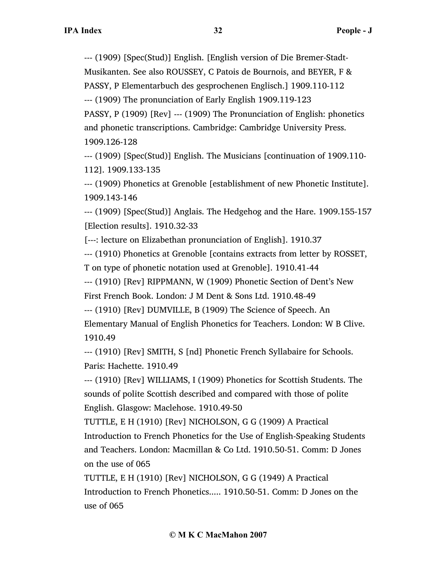--- (1909) [Spec(Stud)] English. [English version of Die Bremer-Stadt-Musikanten. See also ROUSSEY, C Patois de Bournois, and BEYER, F &

PASSY, P Elementarbuch des gesprochenen Englisch.] 1909.110-112

--- (1909) The pronunciation of Early English 1909.119-123

PASSY, P (1909) [Rev] --- (1909) The Pronunciation of English: phonetics and phonetic transcriptions. Cambridge: Cambridge University Press. 1909.126-128

--- (1909) [Spec(Stud)] English. The Musicians [continuation of 1909.110- 112]. 1909.133-135

--- (1909) Phonetics at Grenoble [establishment of new Phonetic Institute]. 1909.143-146

--- (1909) [Spec(Stud)] Anglais. The Hedgehog and the Hare. 1909.155-157 [Election results]. 1910.32-33

[---: lecture on Elizabethan pronunciation of English]. 1910.37

--- (1910) Phonetics at Grenoble [contains extracts from letter by ROSSET,

T on type of phonetic notation used at Grenoble]. 1910.41-44

--- (1910) [Rev] RIPPMANN, W (1909) Phonetic Section of Dent's New

First French Book. London: J M Dent & Sons Ltd. 1910.48-49

--- (1910) [Rev] DUMVILLE, B (1909) The Science of Speech. An Elementary Manual of English Phonetics for Teachers. London: W B Clive. 1910.49

--- (1910) [Rev] SMITH, S [nd] Phonetic French Syllabaire for Schools. Paris: Hachette. 1910.49

--- (1910) [Rev] WILLIAMS, I (1909) Phonetics for Scottish Students. The sounds of polite Scottish described and compared with those of polite English. Glasgow: Maclehose. 1910.49-50

TUTTLE, E H (1910) [Rev] NICHOLSON, G G (1909) A Practical Introduction to French Phonetics for the Use of English-Speaking Students and Teachers. London: Macmillan & Co Ltd. 1910.50-51. Comm: D Jones on the use of 065

TUTTLE, E H (1910) [Rev] NICHOLSON, G G (1949) A Practical Introduction to French Phonetics..... 1910.50-51. Comm: D Jones on the use of 065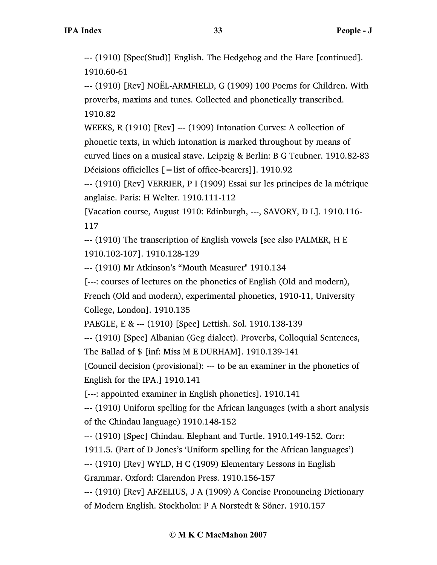--- (1910) [Spec(Stud)] English. The Hedgehog and the Hare [continued]. 1910.60-61

--- (1910) [Rev] NOËL-ARMFIELD, G (1909) 100 Poems for Children. With proverbs, maxims and tunes. Collected and phonetically transcribed. 1910.82

WEEKS, R (1910) [Rev] --- (1909) Intonation Curves: A collection of phonetic texts, in which intonation is marked throughout by means of curved lines on a musical stave. Leipzig & Berlin: B G Teubner. 1910.82-83 Décisions officielles [=list of office-bearers]]. 1910.92

--- (1910) [Rev] VERRIER, P I (1909) Essai sur les principes de la métrique anglaise. Paris: H Welter. 1910.111-112

[Vacation course, August 1910: Edinburgh, ---, SAVORY, D L]. 1910.116- 117

--- (1910) The transcription of English vowels [see also PALMER, H E 1910.102-107]. 1910.128-129

--- (1910) Mr Atkinson's "Mouth Measurer" 1910.134

[---: courses of lectures on the phonetics of English (Old and modern),

French (Old and modern), experimental phonetics, 1910-11, University College, London]. 1910.135

PAEGLE, E & --- (1910) [Spec] Lettish. Sol. 1910.138-139

--- (1910) [Spec] Albanian (Geg dialect). Proverbs, Colloquial Sentences,

The Ballad of \$ [inf: Miss M E DURHAM]. 1910.139-141

[Council decision (provisional): --- to be an examiner in the phonetics of English for the IPA.] 1910.141

[---: appointed examiner in English phonetics]. 1910.141

--- (1910) Uniform spelling for the African languages (with a short analysis of the Chindau language) 1910.148-152

--- (1910) [Spec] Chindau. Elephant and Turtle. 1910.149-152. Corr:

1911.5. (Part of D Jones's 'Uniform spelling for the African languages')

--- (1910) [Rev] WYLD, H C (1909) Elementary Lessons in English

Grammar. Oxford: Clarendon Press. 1910.156-157

--- (1910) [Rev] AFZELIUS, J A (1909) A Concise Pronouncing Dictionary of Modern English. Stockholm: P A Norstedt & Söner. 1910.157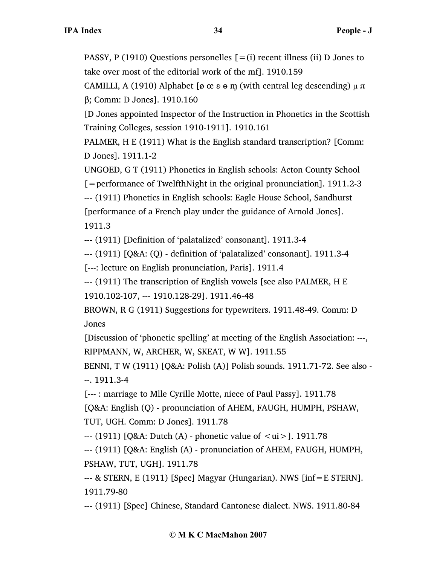PASSY, P (1910) Questions personelles  $[=(i)]$  recent illness (ii) D Jones to take over most of the editorial work of the mf]. 1910.159

CAMILLI, A (1910) Alphabet [ø œ  $\theta$  θ m (with central leg descending)  $\mu \pi$ β; Comm: D Jones]. 1910.160

[D Jones appointed Inspector of the Instruction in Phonetics in the Scottish Training Colleges, session 1910-1911]. 1910.161

PALMER, H E (1911) What is the English standard transcription? [Comm: D Jones]. 1911.1-2

UNGOED, G T (1911) Phonetics in English schools: Acton County School

[=performance of TwelfthNight in the original pronunciation]. 1911.2-3

--- (1911) Phonetics in English schools: Eagle House School, Sandhurst [performance of a French play under the guidance of Arnold Jones]. 1911.3

--- (1911) [Definition of 'palatalized' consonant]. 1911.3-4

--- (1911) [Q&A: (Q) - definition of 'palatalized' consonant]. 1911.3-4

[---: lecture on English pronunciation, Paris]. 1911.4

--- (1911) The transcription of English vowels [see also PALMER, H E

1910.102-107, --- 1910.128-29]. 1911.46-48

BROWN, R G (1911) Suggestions for typewriters. 1911.48-49. Comm: D Jones

[Discussion of 'phonetic spelling' at meeting of the English Association: ---, RIPPMANN, W, ARCHER, W, SKEAT, W W]. 1911.55

BENNI, T W (1911) [Q&A: Polish (A)] Polish sounds. 1911.71-72. See also - --. 1911.3-4

[--- : marriage to Mlle Cyrille Motte, niece of Paul Passy]. 1911.78

[Q&A: English (Q) - pronunciation of AHEM, FAUGH, HUMPH, PSHAW, TUT, UGH. Comm: D Jones]. 1911.78

 $-$  (1911) [Q&A: Dutch (A) - phonetic value of  $\langle \text{ui} \rangle$ ]. 1911.78

--- (1911) [Q&A: English (A) - pronunciation of AHEM, FAUGH, HUMPH, PSHAW, TUT, UGH]. 1911.78

--- & STERN, E (1911) [Spec] Magyar (Hungarian). NWS [inf=E STERN]. 1911.79-80

--- (1911) [Spec] Chinese, Standard Cantonese dialect. NWS. 1911.80-84

# **© M K C MacMahon 2007**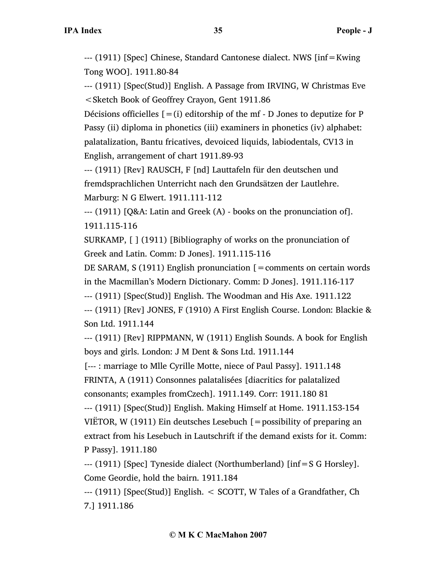--- (1911) [Spec] Chinese, Standard Cantonese dialect. NWS [inf=Kwing Tong WOO]. 1911.80-84

--- (1911) [Spec(Stud)] English. A Passage from IRVING, W Christmas Eve <Sketch Book of Geoffrey Crayon, Gent 1911.86

Décisions officielles  $[=(i)]$  editorship of the mf - D Jones to deputize for P Passy (ii) diploma in phonetics (iii) examiners in phonetics (iv) alphabet: palatalization, Bantu fricatives, devoiced liquids, labiodentals, CV13 in English, arrangement of chart 1911.89-93

--- (1911) [Rev] RAUSCH, F [nd] Lauttafeln für den deutschen und fremdsprachlichen Unterricht nach den Grundsätzen der Lautlehre. Marburg: N G Elwert. 1911.111-112

--- (1911) [Q&A: Latin and Greek (A) - books on the pronunciation of]. 1911.115-116

SURKAMP, [ ] (1911) [Bibliography of works on the pronunciation of Greek and Latin. Comm: D Jones]. 1911.115-116

DE SARAM, S (1911) English pronunciation  $\mathfrak{[} =$  comments on certain words in the Macmillan's Modern Dictionary. Comm: D Jones]. 1911.116-117

--- (1911) [Spec(Stud)] English. The Woodman and His Axe. 1911.122

--- (1911) [Rev] JONES, F (1910) A First English Course. London: Blackie & Son Ltd. 1911.144

--- (1911) [Rev] RIPPMANN, W (1911) English Sounds. A book for English boys and girls. London: J M Dent & Sons Ltd. 1911.144

[--- : marriage to Mlle Cyrille Motte, niece of Paul Passy]. 1911.148 FRINTA, A (1911) Consonnes palatalisées [diacritics for palatalized consonants; examples fromCzech]. 1911.149. Corr: 1911.180 81

--- (1911) [Spec(Stud)] English. Making Himself at Home. 1911.153-154 VIËTOR, W (1911) Ein deutsches Lesebuch  $\mathfrak{g}$  = possibility of preparing an extract from his Lesebuch in Lautschrift if the demand exists for it. Comm: P Passy]. 1911.180

--- (1911) [Spec] Tyneside dialect (Northumberland) [inf=S G Horsley]. Come Geordie, hold the bairn. 1911.184

--- (1911) [Spec(Stud)] English. < SCOTT, W Tales of a Grandfather, Ch 7.] 1911.186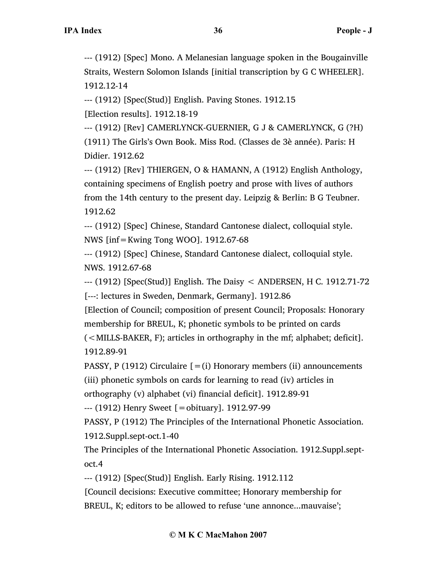--- (1912) [Spec] Mono. A Melanesian language spoken in the Bougainville Straits, Western Solomon Islands [initial transcription by G C WHEELER]. 1912.12-14

--- (1912) [Spec(Stud)] English. Paving Stones. 1912.15

[Election results]. 1912.18-19

--- (1912) [Rev] CAMERLYNCK-GUERNIER, G J & CAMERLYNCK, G (?H) (1911) The Girls's Own Book. Miss Rod. (Classes de 3è année). Paris: H Didier. 1912.62

--- (1912) [Rev] THIERGEN, O & HAMANN, A (1912) English Anthology, containing specimens of English poetry and prose with lives of authors from the 14th century to the present day. Leipzig & Berlin: B G Teubner. 1912.62

--- (1912) [Spec] Chinese, Standard Cantonese dialect, colloquial style. NWS [inf=Kwing Tong WOO]. 1912.67-68

--- (1912) [Spec] Chinese, Standard Cantonese dialect, colloquial style. NWS. 1912.67-68

--- (1912) [Spec(Stud)] English. The Daisy < ANDERSEN, H C. 1912.71-72 [---: lectures in Sweden, Denmark, Germany]. 1912.86

[Election of Council; composition of present Council; Proposals: Honorary membership for BREUL, K; phonetic symbols to be printed on cards

(<MILLS-BAKER, F); articles in orthography in the mf; alphabet; deficit]. 1912.89-91

PASSY, P (1912) Circulaire  $[=(i)$  Honorary members (ii) announcements (iii) phonetic symbols on cards for learning to read (iv) articles in

orthography (v) alphabet (vi) financial deficit]. 1912.89-91

--- (1912) Henry Sweet [=obituary]. 1912.97-99

PASSY, P (1912) The Principles of the International Phonetic Association. 1912.Suppl.sept-oct.1-40

The Principles of the International Phonetic Association. 1912.Suppl.septoct.4

--- (1912) [Spec(Stud)] English. Early Rising. 1912.112

[Council decisions: Executive committee; Honorary membership for BREUL, K; editors to be allowed to refuse 'une annonce...mauvaise';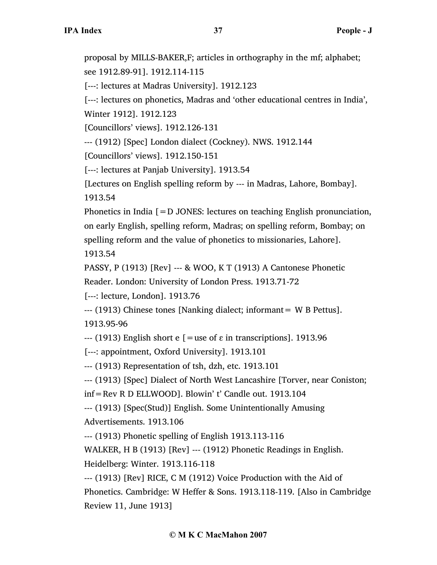proposal by MILLS-BAKER,F; articles in orthography in the mf; alphabet; see 1912.89-91]. 1912.114-115

[---: lectures at Madras University]. 1912.123

[---: lectures on phonetics, Madras and 'other educational centres in India', Winter 1912]. 1912.123

[Councillors' views]. 1912.126-131

--- (1912) [Spec] London dialect (Cockney). NWS. 1912.144

[Councillors' views]. 1912.150-151

[---: lectures at Panjab University]. 1913.54

[Lectures on English spelling reform by --- in Madras, Lahore, Bombay]. 1913.54

Phonetics in India  $[=D$  JONES: lectures on teaching English pronunciation, on early English, spelling reform, Madras; on spelling reform, Bombay; on spelling reform and the value of phonetics to missionaries, Lahore]. 1913.54

PASSY, P (1913) [Rev] --- & WOO, K T (1913) A Cantonese Phonetic

Reader. London: University of London Press. 1913.71-72

[---: lecture, London]. 1913.76

--- (1913) Chinese tones [Nanking dialect; informant= W B Pettus]. 1913.95-96

--- (1913) English short e  $\lceil$  = use of  $\varepsilon$  in transcriptions]. 1913.96

[---: appointment, Oxford University]. 1913.101

--- (1913) Representation of tsh, dzh, etc. 1913.101

--- (1913) [Spec] Dialect of North West Lancashire [Torver, near Coniston;

inf=Rev R D ELLWOOD]. Blowin' t' Candle out. 1913.104

--- (1913) [Spec(Stud)] English. Some Unintentionally Amusing Advertisements. 1913.106

--- (1913) Phonetic spelling of English 1913.113-116

WALKER, H B (1913) [Rev] --- (1912) Phonetic Readings in English. Heidelberg: Winter. 1913.116-118

--- (1913) [Rev] RICE, C M (1912) Voice Production with the Aid of Phonetics. Cambridge: W Heffer & Sons. 1913.118-119. [Also in Cambridge Review 11, June 1913]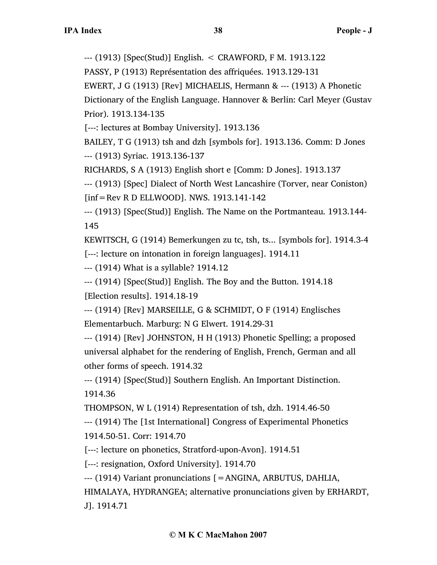--- (1913) [Spec(Stud)] English. < CRAWFORD, F M. 1913.122

PASSY, P (1913) Représentation des affriquées. 1913.129-131

EWERT, J G (1913) [Rev] MICHAELIS, Hermann & --- (1913) A Phonetic

Dictionary of the English Language. Hannover & Berlin: Carl Meyer (Gustav Prior). 1913.134-135

[---: lectures at Bombay University]. 1913.136

BAILEY, T G (1913) tsh and dzh [symbols for]. 1913.136. Comm: D Jones --- (1913) Syriac. 1913.136-137

RICHARDS, S A (1913) English short e [Comm: D Jones]. 1913.137

--- (1913) [Spec] Dialect of North West Lancashire (Torver, near Coniston)

[inf=Rev R D ELLWOOD]. NWS. 1913.141-142

--- (1913) [Spec(Stud)] English. The Name on the Portmanteau. 1913.144- 145

KEWITSCH, G (1914) Bemerkungen zu tc, tsh, ts... [symbols for]. 1914.3-4

[---: lecture on intonation in foreign languages]. 1914.11

--- (1914) What is a syllable? 1914.12

--- (1914) [Spec(Stud)] English. The Boy and the Button. 1914.18 [Election results]. 1914.18-19

--- (1914) [Rev] MARSEILLE, G & SCHMIDT, O F (1914) Englisches Elementarbuch. Marburg: N G Elwert. 1914.29-31

--- (1914) [Rev] JOHNSTON, H H (1913) Phonetic Spelling; a proposed universal alphabet for the rendering of English, French, German and all other forms of speech. 1914.32

--- (1914) [Spec(Stud)] Southern English. An Important Distinction. 1914.36

THOMPSON, W L (1914) Representation of tsh, dzh. 1914.46-50

--- (1914) The [1st International] Congress of Experimental Phonetics 1914.50-51. Corr: 1914.70

[---: lecture on phonetics, Stratford-upon-Avon]. 1914.51

[---: resignation, Oxford University]. 1914.70

--- (1914) Variant pronunciations [=ANGINA, ARBUTUS, DAHLIA,

HIMALAYA, HYDRANGEA; alternative pronunciations given by ERHARDT, J]. 1914.71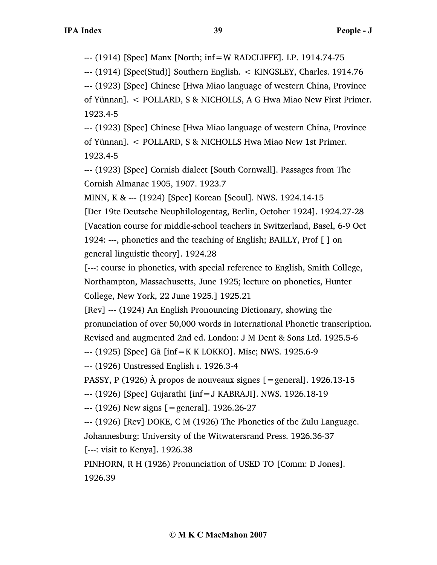--- (1914) [Spec] Manx [North; inf=W RADCLIFFE]. LP. 1914.74-75

--- (1914) [Spec(Stud)] Southern English. < KINGSLEY, Charles. 1914.76

--- (1923) [Spec] Chinese [Hwa Miao language of western China, Province of Yünnan]. < POLLARD, S & NICHOLLS, A G Hwa Miao New First Primer. 1923.4-5

--- (1923) [Spec] Chinese [Hwa Miao language of western China, Province of Yünnan]. < POLLARD, S & NICHOLLS Hwa Miao New 1st Primer. 1923.4-5

--- (1923) [Spec] Cornish dialect [South Cornwall]. Passages from The Cornish Almanac 1905, 1907. 1923.7

MINN, K & --- (1924) [Spec] Korean [Seoul]. NWS. 1924.14-15

[Der 19te Deutsche Neuphilologentag, Berlin, October 1924]. 1924.27-28 [Vacation course for middle-school teachers in Switzerland, Basel, 6-9 Oct 1924: ---, phonetics and the teaching of English; BAILLY, Prof [ ] on general linguistic theory]. 1924.28

[---: course in phonetics, with special reference to English, Smith College, Northampton, Massachusetts, June 1925; lecture on phonetics, Hunter College, New York, 22 June 1925.] 1925.21

[Rev] --- (1924) An English Pronouncing Dictionary, showing the pronunciation of over 50,000 words in International Phonetic transcription. Revised and augmented 2nd ed. London: J M Dent & Sons Ltd. 1925.5-6

--- (1925) [Spec] Gã [inf=K K LOKKO]. Misc; NWS. 1925.6-9

--- (1926) Unstressed English ɪ. 1926.3-4

PASSY, P (1926) À propos de nouveaux signes [=general]. 1926.13-15

--- (1926) [Spec] Gujarathi [inf=J KABRAJI]. NWS. 1926.18-19

--- (1926) New signs [=general]. 1926.26-27

--- (1926) [Rev] DOKE, C M (1926) The Phonetics of the Zulu Language.

Johannesburg: University of the Witwatersrand Press. 1926.36-37

[---: visit to Kenya]. 1926.38

PINHORN, R H (1926) Pronunciation of USED TO [Comm: D Jones].

1926.39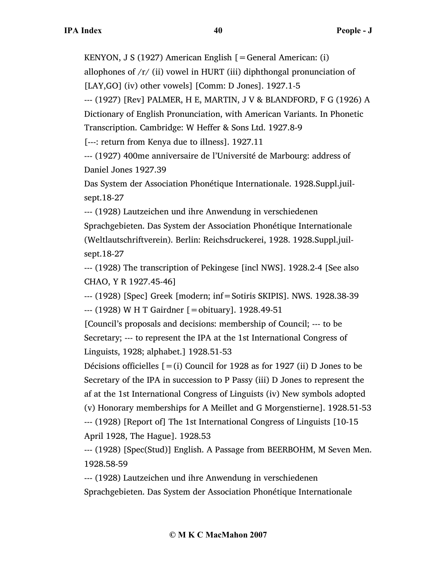KENYON, J S (1927) American English [=General American: (i)

allophones of  $/r/$  (ii) vowel in HURT (iii) diphthongal pronunciation of

[LAY,GO] (iv) other vowels] [Comm: D Jones]. 1927.1-5

--- (1927) [Rev] PALMER, H E, MARTIN, J V & BLANDFORD, F G (1926) A Dictionary of English Pronunciation, with American Variants. In Phonetic Transcription. Cambridge: W Heffer & Sons Ltd. 1927.8-9

[---: return from Kenya due to illness]. 1927.11

--- (1927) 400me anniversaire de l'Université de Marbourg: address of Daniel Jones 1927.39

Das System der Association Phonétique Internationale. 1928.Suppl.juilsept.18-27

--- (1928) Lautzeichen und ihre Anwendung in verschiedenen

Sprachgebieten. Das System der Association Phonétique Internationale (Weltlautschriftverein). Berlin: Reichsdruckerei, 1928. 1928.Suppl.juilsept.18-27

--- (1928) The transcription of Pekingese [incl NWS]. 1928.2-4 [See also CHAO, Y R 1927.45-46]

--- (1928) [Spec] Greek [modern; inf=Sotiris SKIPIS]. NWS. 1928.38-39 --- (1928) W H T Gairdner [=obituary]. 1928.49-51

[Council's proposals and decisions: membership of Council; --- to be Secretary; --- to represent the IPA at the 1st International Congress of Linguists, 1928; alphabet.] 1928.51-53

Décisions officielles  $[=(i)$  Council for 1928 as for 1927 (ii) D Jones to be Secretary of the IPA in succession to P Passy (iii) D Jones to represent the af at the 1st International Congress of Linguists (iv) New symbols adopted (v) Honorary memberships for A Meillet and G Morgenstierne]. 1928.51-53 --- (1928) [Report of] The 1st International Congress of Linguists [10-15

April 1928, The Hague]. 1928.53

--- (1928) [Spec(Stud)] English. A Passage from BEERBOHM, M Seven Men. 1928.58-59

--- (1928) Lautzeichen und ihre Anwendung in verschiedenen Sprachgebieten. Das System der Association Phonétique Internationale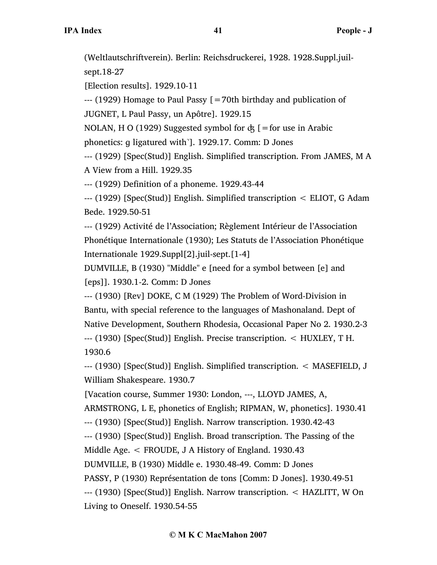(Weltlautschriftverein). Berlin: Reichsdruckerei, 1928. 1928.Suppl.juil-

sept.18-27

[Election results]. 1929.10-11

 $-$ --- (1929) Homage to Paul Passy  $\lceil$  = 70th birthday and publication of

JUGNET, L Paul Passy, un Apôtre]. 1929.15

NOLAN, H O (1929) Suggested symbol for  $\dot{\alpha}$  [=for use in Arabic

phonetics: ɡ ligatured with̚]. 1929.17. Comm: D Jones

--- (1929) [Spec(Stud)] English. Simplified transcription. From JAMES, M A A View from a Hill. 1929.35

--- (1929) Definition of a phoneme. 1929.43-44

--- (1929) [Spec(Stud)] English. Simplified transcription < ELIOT, G Adam Bede. 1929.50-51

--- (1929) Activité de l'Association; Règlement Intérieur de l'Association Phonétique Internationale (1930); Les Statuts de l'Association Phonétique Internationale 1929.Suppl[2].juil-sept.[1-4]

DUMVILLE, B (1930) "Middle" e [need for a symbol between [e] and [eps]]. 1930.1-2. Comm: D Jones

--- (1930) [Rev] DOKE, C M (1929) The Problem of Word-Division in Bantu, with special reference to the languages of Mashonaland. Dept of Native Development, Southern Rhodesia, Occasional Paper No 2. 1930.2-3 --- (1930) [Spec(Stud)] English. Precise transcription. < HUXLEY, T H. 1930.6

--- (1930) [Spec(Stud)] English. Simplified transcription. < MASEFIELD, J William Shakespeare. 1930.7

[Vacation course, Summer 1930: London, ---, LLOYD JAMES, A,

ARMSTRONG, L E, phonetics of English; RIPMAN, W, phonetics]. 1930.41

--- (1930) [Spec(Stud)] English. Narrow transcription. 1930.42-43

--- (1930) [Spec(Stud)] English. Broad transcription. The Passing of the

Middle Age. < FROUDE, J A History of England. 1930.43

DUMVILLE, B (1930) Middle e. 1930.48-49. Comm: D Jones

PASSY, P (1930) Représentation de tons [Comm: D Jones]. 1930.49-51

--- (1930) [Spec(Stud)] English. Narrow transcription. < HAZLITT, W On Living to Oneself. 1930.54-55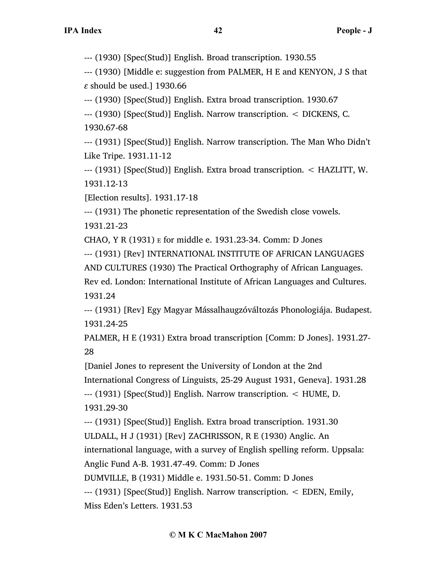--- (1930) [Spec(Stud)] English. Broad transcription. 1930.55

--- (1930) [Middle e: suggestion from PALMER, H E and KENYON, J S that *ɛ* should be used.] 1930.66

--- (1930) [Spec(Stud)] English. Extra broad transcription. 1930.67

--- (1930) [Spec(Stud)] English. Narrow transcription. < DICKENS, C. 1930.67-68

--- (1931) [Spec(Stud)] English. Narrow transcription. The Man Who Didn't Like Tripe. 1931.11-12

--- (1931) [Spec(Stud)] English. Extra broad transcription. < HAZLITT, W. 1931.12-13

[Election results]. 1931.17-18

--- (1931) The phonetic representation of the Swedish close vowels.

1931.21-23

CHAO, Y R (1931) E for middle e. 1931.23-34. Comm: D Jones

--- (1931) [Rev] INTERNATIONAL INSTITUTE OF AFRICAN LANGUAGES

AND CULTURES (1930) The Practical Orthography of African Languages.

Rev ed. London: International Institute of African Languages and Cultures. 1931.24

--- (1931) [Rev] Egy Magyar Mássalhaugzóváltozás Phonologiája. Budapest. 1931.24-25

PALMER, H E (1931) Extra broad transcription [Comm: D Jones]. 1931.27- 28

[Daniel Jones to represent the University of London at the 2nd

International Congress of Linguists, 25-29 August 1931, Geneva]. 1931.28

--- (1931) [Spec(Stud)] English. Narrow transcription. < HUME, D.

1931.29-30

--- (1931) [Spec(Stud)] English. Extra broad transcription. 1931.30

ULDALL, H J (1931) [Rev] ZACHRISSON, R E (1930) Anglic. An

international language, with a survey of English spelling reform. Uppsala:

Anglic Fund A-B. 1931.47-49. Comm: D Jones

DUMVILLE, B (1931) Middle e. 1931.50-51. Comm: D Jones

--- (1931) [Spec(Stud)] English. Narrow transcription. < EDEN, Emily, Miss Eden's Letters. 1931.53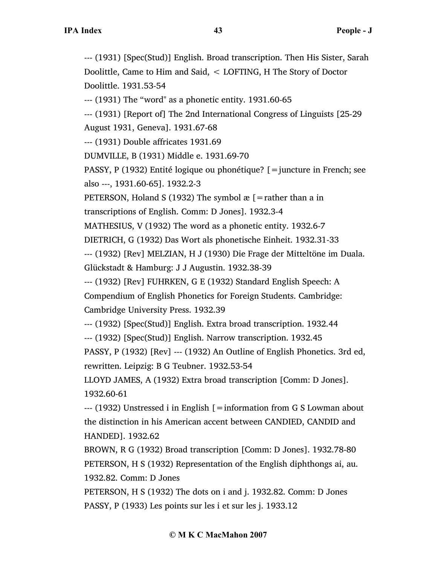--- (1931) [Spec(Stud)] English. Broad transcription. Then His Sister, Sarah Doolittle, Came to Him and Said, < LOFTING, H The Story of Doctor Doolittle. 1931.53-54

--- (1931) The "word" as a phonetic entity. 1931.60-65

--- (1931) [Report of] The 2nd International Congress of Linguists [25-29 August 1931, Geneva]. 1931.67-68

--- (1931) Double affricates 1931.69

DUMVILLE, B (1931) Middle e. 1931.69-70

PASSY, P (1932) Entité logique ou phonétique? [=juncture in French; see also ---, 1931.60-65]. 1932.2-3

PETERSON, Holand S (1932) The symbol  $x =$  [=rather than a in

transcriptions of English. Comm: D Jones]. 1932.3-4

MATHESIUS, V (1932) The word as a phonetic entity. 1932.6-7

DIETRICH, G (1932) Das Wort als phonetische Einheit. 1932.31-33

--- (1932) [Rev] MELZIAN, H J (1930) Die Frage der Mitteltöne im Duala. Glückstadt & Hamburg: J J Augustin. 1932.38-39

--- (1932) [Rev] FUHRKEN, G E (1932) Standard English Speech: A

Compendium of English Phonetics for Foreign Students. Cambridge: Cambridge University Press. 1932.39

--- (1932) [Spec(Stud)] English. Extra broad transcription. 1932.44

--- (1932) [Spec(Stud)] English. Narrow transcription. 1932.45

PASSY, P (1932) [Rev] --- (1932) An Outline of English Phonetics. 3rd ed, rewritten. Leipzig: B G Teubner. 1932.53-54

LLOYD JAMES, A (1932) Extra broad transcription [Comm: D Jones]. 1932.60-61

--- (1932) Unstressed i in English [=information from G S Lowman about the distinction in his American accent between CANDIED, CANDID and HANDED]. 1932.62

BROWN, R G (1932) Broad transcription [Comm: D Jones]. 1932.78-80 PETERSON, H S (1932) Representation of the English diphthongs ai, au. 1932.82. Comm: D Jones

PETERSON, H S (1932) The dots on i and j. 1932.82. Comm: D Jones PASSY, P (1933) Les points sur les i et sur les j. 1933.12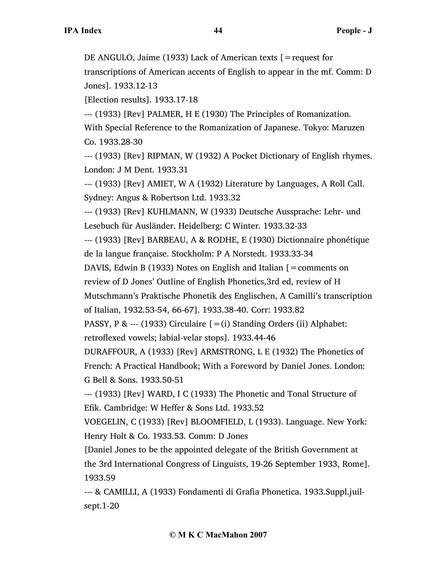DE ANGULO, Jaime (1933) Lack of American texts [=request for

transcriptions of American accents of English to appear in the mf. Comm: D Jones]. 1933.12-13

[Election results]. 1933.17-18

--- (1933) [Rev] PALMER, H E (1930) The Principles of Romanization. With Special Reference to the Romanization of Japanese. Tokyo: Maruzen Co. 1933.28-30

--- (1933) [Rev] RIPMAN, W (1932) A Pocket Dictionary of English rhymes. London: J M Dent. 1933.31

--- (1933) [Rev] AMIET, W A (1932) Literature by Languages, A Roll Call. Sydney: Angus & Robertson Ltd. 1933.32

--- (1933) [Rev] KUHLMANN, W (1933) Deutsche Aussprache: Lehr- und Lesebuch für Ausländer. Heidelberg: C Winter. 1933.32-33

--- (1933) [Rev] BARBEAU, A & RODHE, E (1930) Dictionnaire phonétique de la langue française. Stockholm: P A Norstedt. 1933.33-34

DAVIS, Edwin B (1933) Notes on English and Italian  $\mathbf{r} = \mathbf{comments}$  on review of D Jones' Outline of English Phonetics,3rd ed, review of H

Mutschmann's Praktische Phonetik des Englischen, A Camilli's transcription

of Italian, 1932.53-54, 66-67]. 1933.38-40. Corr: 1933.82

PASSY, P & --- (1933) Circulaire  $[=(i)$  Standing Orders (ii) Alphabet: retroflexed vowels; labial-velar stops]. 1933.44-46

DURAFFOUR, A (1933) [Rev] ARMSTRONG, L E (1932) The Phonetics of French: A Practical Handbook; With a Foreword by Daniel Jones. London: G Bell & Sons. 1933.50-51

--- (1933) [Rev] WARD, I C (1933) The Phonetic and Tonal Structure of Efik. Cambridge: W Heffer & Sons Ltd. 1933.52

VOEGELIN, C (1933) [Rev] BLOOMFIELD, L (1933). Language. New York: Henry Holt & Co. 1933.53. Comm: D Jones

[Daniel Jones to be the appointed delegate of the British Government at the 3rd International Congress of Linguists, 19-26 September 1933, Rome]. 1933.59

--- & CAMILLI, A (1933) Fondamenti di Grafia Phonetica. 1933.Suppl.juilsept.1-20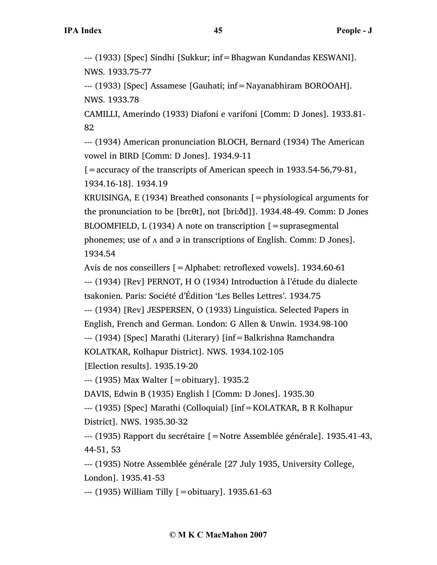--- (1933) [Spec] Sindhi [Sukkur; inf=Bhagwan Kundandas KESWANI]. NWS. 1933.75-77

--- (1933) [Spec] Assamese [Gauhati; inf=Nayanabhiram BOROOAH]. NWS. 1933.78

CAMILLI, Amerindo (1933) Diafoni e varifoni [Comm: D Jones]. 1933.81- 82

--- (1934) American pronunciation BLOCH, Bernard (1934) The American vowel in BIRD [Comm: D Jones]. 1934.9-11

 $\mathcal{L}$  = accuracy of the transcripts of American speech in 1933.54-56,79-81, 1934.16-18]. 1934.19

KRUISINGA, E (1934) Breathed consonants  $\mathfrak{[}=$  physiological arguments for the pronunciation to be [brεθt], not [briːðd]]. 1934.48-49. Comm: D Jones BLOOMFIELD, L  $(1934)$  A note on transcription  $[$  = suprasegmental phonemes; use of ʌ and ə in transcriptions of English. Comm: D Jones]. 1934.54

Avis de nos conseillers [=Alphabet: retroflexed vowels]. 1934.60-61 --- (1934) [Rev] PERNOT, H O (1934) Introduction à l'étude du dialecte tsakonien. Paris: Société d'Édition 'Les Belles Lettres'. 1934.75

--- (1934) [Rev] JESPERSEN, O (1933) Linguistica. Selected Papers in English, French and German. London: G Allen & Unwin. 1934.98-100

--- (1934) [Spec] Marathi (Literary) [inf=Balkrishna Ramchandra

KOLATKAR, Kolhapur District]. NWS. 1934.102-105

[Election results]. 1935.19-20

--- (1935) Max Walter [=obituary]. 1935.2

DAVIS, Edwin B (1935) English l [Comm: D Jones]. 1935.30

--- (1935) [Spec] Marathi (Colloquial) [inf=KOLATKAR, B R Kolhapur District]. NWS. 1935.30-32

--- (1935) Rapport du secrétaire [=Notre Assemblée générale]. 1935.41-43, 44-51, 53

--- (1935) Notre Assemblée générale [27 July 1935, University College, London]. 1935.41-53

--- (1935) William Tilly [=obituary]. 1935.61-63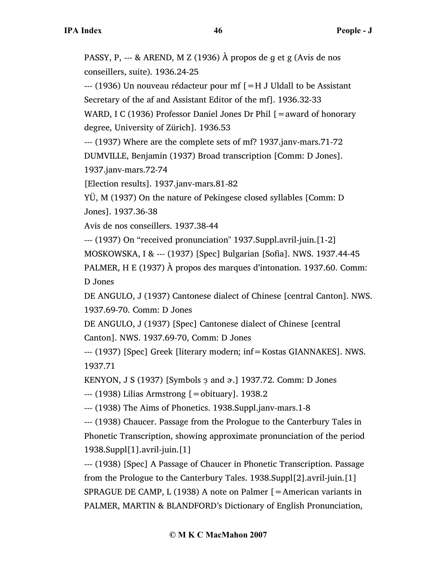PASSY, P, --- & AREND, M Z (1936) À propos de ɡ et g (Avis de nos conseillers, suite). 1936.24-25

--- (1936) Un nouveau rédacteur pour mf [=H J Uldall to be Assistant Secretary of the af and Assistant Editor of the mf]. 1936.32-33

WARD, I C (1936) Professor Daniel Jones Dr Phil [= award of honorary degree, University of Zürich]. 1936.53

--- (1937) Where are the complete sets of mf? 1937.janv-mars.71-72

DUMVILLE, Benjamin (1937) Broad transcription [Comm: D Jones]. 1937.janv-mars.72-74

[Election results]. 1937.janv-mars.81-82

YÜ, M (1937) On the nature of Pekingese closed syllables [Comm: D Jones]. 1937.36-38

Avis de nos conseillers. 1937.38-44

--- (1937) On "received pronunciation" 1937.Suppl.avril-juin.[1-2]

MOSKOWSKA, I & --- (1937) [Spec] Bulgarian [Sofia]. NWS. 1937.44-45

PALMER, H E (1937) À propos des marques d'intonation. 1937.60. Comm: D Jones

DE ANGULO, J (1937) Cantonese dialect of Chinese [central Canton]. NWS. 1937.69-70. Comm: D Jones

DE ANGULO, J (1937) [Spec] Cantonese dialect of Chinese [central Canton]. NWS. 1937.69-70, Comm: D Jones

--- (1937) [Spec] Greek [literary modern; inf=Kostas GIANNAKES]. NWS. 1937.71

KENYON, J S (1937) [Symbols  $\frac{1}{2}$  and  $\alpha$ .] 1937.72. Comm: D Jones

--- (1938) Lilias Armstrong [=obituary]. 1938.2

--- (1938) The Aims of Phonetics. 1938.Suppl.janv-mars.1-8

--- (1938) Chaucer. Passage from the Prologue to the Canterbury Tales in Phonetic Transcription, showing approximate pronunciation of the period 1938.Suppl[1].avril-juin.[1]

--- (1938) [Spec] A Passage of Chaucer in Phonetic Transcription. Passage from the Prologue to the Canterbury Tales. 1938.Suppl[2].avril-juin.[1] SPRAGUE DE CAMP, L (1938) A note on Palmer [=American variants in PALMER, MARTIN & BLANDFORD's Dictionary of English Pronunciation,

## **© M K C MacMahon 2007**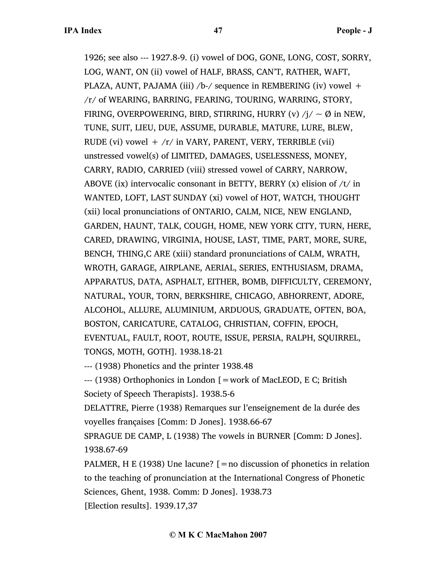1926; see also --- 1927.8-9. (i) vowel of DOG, GONE, LONG, COST, SORRY, LOG, WANT, ON (ii) vowel of HALF, BRASS, CAN'T, RATHER, WAFT, PLAZA, AUNT, PAJAMA (iii)  $/b$ -/ sequence in REMBERING (iv) vowel  $+$ /r/ of WEARING, BARRING, FEARING, TOURING, WARRING, STORY, FIRING, OVERPOWERING, BIRD, STIRRING, HURRY (v)  $/j / \sim \emptyset$  in NEW, TUNE, SUIT, LIEU, DUE, ASSUME, DURABLE, MATURE, LURE, BLEW, RUDE (vi) vowel  $+$  /r/ in VARY, PARENT, VERY, TERRIBLE (vii) unstressed vowel(s) of LIMITED, DAMAGES, USELESSNESS, MONEY, CARRY, RADIO, CARRIED (viii) stressed vowel of CARRY, NARROW, ABOVE (ix) intervocalic consonant in BETTY, BERRY (x) elision of  $/t/$  in WANTED, LOFT, LAST SUNDAY (xi) vowel of HOT, WATCH, THOUGHT (xii) local pronunciations of ONTARIO, CALM, NICE, NEW ENGLAND, GARDEN, HAUNT, TALK, COUGH, HOME, NEW YORK CITY, TURN, HERE, CARED, DRAWING, VIRGINIA, HOUSE, LAST, TIME, PART, MORE, SURE, BENCH, THING,C ARE (xiii) standard pronunciations of CALM, WRATH, WROTH, GARAGE, AIRPLANE, AERIAL, SERIES, ENTHUSIASM, DRAMA, APPARATUS, DATA, ASPHALT, EITHER, BOMB, DIFFICULTY, CEREMONY, NATURAL, YOUR, TORN, BERKSHIRE, CHICAGO, ABHORRENT, ADORE, ALCOHOL, ALLURE, ALUMINIUM, ARDUOUS, GRADUATE, OFTEN, BOA, BOSTON, CARICATURE, CATALOG, CHRISTIAN, COFFIN, EPOCH, EVENTUAL, FAULT, ROOT, ROUTE, ISSUE, PERSIA, RALPH, SQUIRREL, TONGS, MOTH, GOTH]. 1938.18-21

--- (1938) Phonetics and the printer 1938.48

--- (1938) Orthophonics in London [=work of MacLEOD, E C; British Society of Speech Therapists]. 1938.5-6

DELATTRE, Pierre (1938) Remarques sur l'enseignement de la durée des voyelles françaises [Comm: D Jones]. 1938.66-67

SPRAGUE DE CAMP, L (1938) The vowels in BURNER [Comm: D Jones]. 1938.67-69

PALMER, H E (1938) Une lacune? [=no discussion of phonetics in relation to the teaching of pronunciation at the International Congress of Phonetic Sciences, Ghent, 1938. Comm: D Jones]. 1938.73 [Election results]. 1939.17,37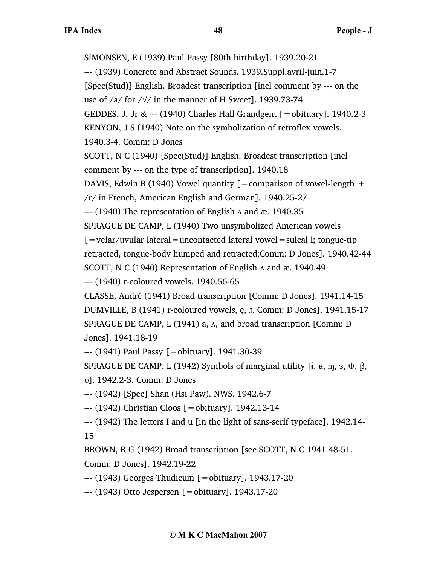SIMONSEN, E (1939) Paul Passy [80th birthday]. 1939.20-21 --- (1939) Concrete and Abstract Sounds. 1939.Suppl.avril-juin.1-7 [Spec(Stud)] English. Broadest transcription [incl comment by --- on the use of /a/ for / $\sqrt{$  in the manner of H Sweet]. 1939.73-74 GEDDES, J, Jr & --- (1940) Charles Hall Grandgent [=obituary]. 1940.2-3 KENYON, J S (1940) Note on the symbolization of retroflex vowels. 1940.3-4. Comm: D Jones SCOTT, N C (1940) [Spec(Stud)] English. Broadest transcription [incl comment by --- on the type of transcription]. 1940.18 DAVIS, Edwin B (1940) Vowel quantity  $[=$  comparison of vowel-length  $+$ /r/ in French, American English and German]. 1940.25-27  $-$ --- (1940) The representation of English  $\Lambda$  and æ. 1940.35 SPRAGUE DE CAMP, L (1940) Two unsymbolized American vowels  $[$  = velar/uvular lateral = uncontacted lateral vowel = sulcal l; tongue-tip retracted, tongue-body humped and retracted;Comm: D Jones]. 1940.42-44 SCOTT, N C (1940) Representation of English  $\Lambda$  and æ. 1940.49 --- (1940) r-coloured vowels. 1940.56-65 CLASSE, André (1941) Broad transcription [Comm: D Jones]. 1941.14-15 DUMVILLE, B (1941) r-coloured vowels, ę, ɹ. Comm: D Jones]. 1941.15-17 SPRAGUE DE CAMP, L (1941) a,  $\Lambda$ , and broad transcription [Comm: D Jones]. 1941.18-19 --- (1941) Paul Passy [=obituary]. 1941.30-39 SPRAGUE DE CAMP, L (1942) Symbols of marginal utility  $[i, u, m, s, \Phi, \beta, \Phi]$ ʋ]. 1942.2-3. Comm: D Jones --- (1942) [Spec] Shan (Hsi Paw). NWS. 1942.6-7 --- (1942) Christian Cloos [=obituary]. 1942.13-14 --- (1942) The letters I and u [in the light of sans-serif typeface]. 1942.14- 15 BROWN, R G (1942) Broad transcription [see SCOTT, N C 1941.48-51.

Comm: D Jones]. 1942.19-22

--- (1943) Georges Thudicum [=obituary]. 1943.17-20

--- (1943) Otto Jespersen [=obituary]. 1943.17-20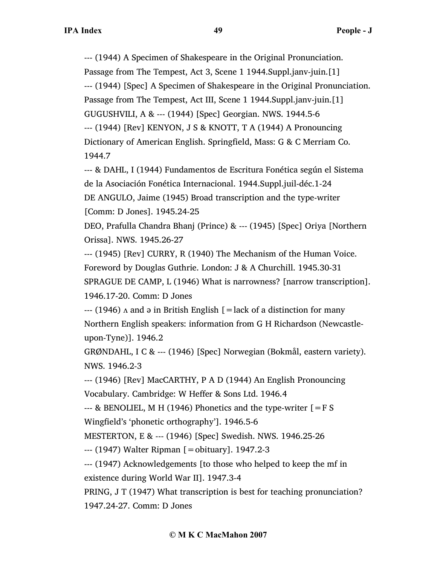--- (1944) A Specimen of Shakespeare in the Original Pronunciation. Passage from The Tempest, Act 3, Scene 1 1944.Suppl.janv-juin.[1] --- (1944) [Spec] A Specimen of Shakespeare in the Original Pronunciation. Passage from The Tempest, Act III, Scene 1 1944.Suppl.janv-juin.[1] GUGUSHVILI, A & --- (1944) [Spec] Georgian. NWS. 1944.5-6 --- (1944) [Rev] KENYON, J S & KNOTT, T A (1944) A Pronouncing Dictionary of American English. Springfield, Mass: G & C Merriam Co. 1944.7

--- & DAHL, I (1944) Fundamentos de Escritura Fonética según el Sistema de la Asociación Fonética Internacional. 1944.Suppl.juil-déc.1-24 DE ANGULO, Jaime (1945) Broad transcription and the type-writer [Comm: D Jones]. 1945.24-25

DEO, Prafulla Chandra Bhanj (Prince) & --- (1945) [Spec] Oriya [Northern Orissa]. NWS. 1945.26-27

--- (1945) [Rev] CURRY, R (1940) The Mechanism of the Human Voice. Foreword by Douglas Guthrie. London: J & A Churchill. 1945.30-31 SPRAGUE DE CAMP, L (1946) What is narrowness? [narrow transcription]. 1946.17-20. Comm: D Jones

 $-$ -- (1946)  $\Lambda$  and  $\Theta$  in British English [=lack of a distinction for many Northern English speakers: information from G H Richardson (Newcastleupon-Tyne)]. 1946.2

GRØNDAHL, I C & --- (1946) [Spec] Norwegian (Bokmål, eastern variety). NWS. 1946.2-3

--- (1946) [Rev] MacCARTHY, P A D (1944) An English Pronouncing Vocabulary. Cambridge: W Heffer & Sons Ltd. 1946.4

--- & BENOLIEL, M H (1946) Phonetics and the type-writer  $[=$  F S Wingfield's 'phonetic orthography']. 1946.5-6

MESTERTON, E & --- (1946) [Spec] Swedish. NWS. 1946.25-26

--- (1947) Walter Ripman [=obituary]. 1947.2-3

--- (1947) Acknowledgements [to those who helped to keep the mf in existence during World War II]. 1947.3-4

PRING, J T (1947) What transcription is best for teaching pronunciation? 1947.24-27. Comm: D Jones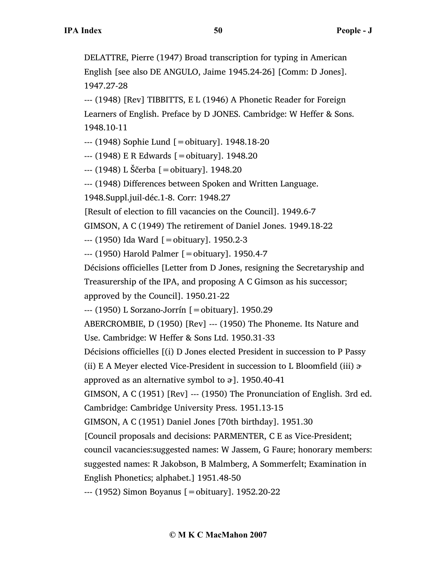DELATTRE, Pierre (1947) Broad transcription for typing in American English [see also DE ANGULO, Jaime 1945.24-26] [Comm: D Jones]. 1947.27-28

--- (1948) [Rev] TIBBITTS, E L (1946) A Phonetic Reader for Foreign Learners of English. Preface by D JONES. Cambridge: W Heffer & Sons. 1948.10-11

--- (1948) Sophie Lund [=obituary]. 1948.18-20

--- (1948) E R Edwards [=obituary]. 1948.20

--- (1948) L Ščerba [=obituary]. 1948.20

--- (1948) Differences between Spoken and Written Language.

1948.Suppl.juil-déc.1-8. Corr: 1948.27

[Result of election to fill vacancies on the Council]. 1949.6-7

GIMSON, A C (1949) The retirement of Daniel Jones. 1949.18-22

--- (1950) Ida Ward [=obituary]. 1950.2-3

--- (1950) Harold Palmer [=obituary]. 1950.4-7

Décisions officielles [Letter from D Jones, resigning the Secretaryship and Treasurership of the IPA, and proposing A C Gimson as his successor;

approved by the Council]. 1950.21-22

--- (1950) L Sorzano-Jorrín [=obituary]. 1950.29

ABERCROMBIE, D (1950) [Rev] --- (1950) The Phoneme. Its Nature and Use. Cambridge: W Heffer & Sons Ltd. 1950.31-33

Décisions officielles [(i) D Jones elected President in succession to P Passy

(ii) E A Meyer elected Vice-President in succession to L Bloomfield (iii)  $\alpha$ 

approved as an alternative symbol to  $\vartheta$ ]. 1950.40-41

GIMSON, A C (1951) [Rev] --- (1950) The Pronunciation of English. 3rd ed. Cambridge: Cambridge University Press. 1951.13-15

GIMSON, A C (1951) Daniel Jones [70th birthday]. 1951.30

[Council proposals and decisions: PARMENTER, C E as Vice-President;

council vacancies:suggested names: W Jassem, G Faure; honorary members:

suggested names: R Jakobson, B Malmberg, A Sommerfelt; Examination in

English Phonetics; alphabet.] 1951.48-50

--- (1952) Simon Boyanus [=obituary]. 1952.20-22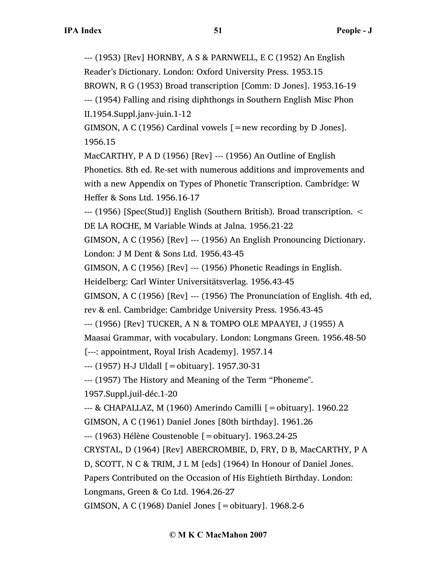--- (1953) [Rev] HORNBY, A S & PARNWELL, E C (1952) An English

Reader's Dictionary. London: Oxford University Press. 1953.15

BROWN, R G (1953) Broad transcription [Comm: D Jones]. 1953.16-19

--- (1954) Falling and rising diphthongs in Southern English Misc Phon II.1954.Suppl.janv-juin.1-12

GIMSON, A C (1956) Cardinal vowels  $[$  = new recording by D Jones]. 1956.15

MacCARTHY, P A D (1956) [Rev] --- (1956) An Outline of English Phonetics. 8th ed. Re-set with numerous additions and improvements and with a new Appendix on Types of Phonetic Transcription. Cambridge: W Heffer & Sons Ltd. 1956.16-17

--- (1956) [Spec(Stud)] English (Southern British). Broad transcription. < DE LA ROCHE, M Variable Winds at Jalna. 1956.21-22

GIMSON, A C (1956) [Rev] --- (1956) An English Pronouncing Dictionary. London: J M Dent & Sons Ltd. 1956.43-45

GIMSON, A C (1956) [Rev] --- (1956) Phonetic Readings in English.

Heidelberg: Carl Winter Universitätsverlag. 1956.43-45

GIMSON, A C (1956) [Rev] --- (1956) The Pronunciation of English. 4th ed,

rev & enl. Cambridge: Cambridge University Press. 1956.43-45

--- (1956) [Rev] TUCKER, A N & TOMPO OLE MPAAYEI, J (1955) A

Maasai Grammar, with vocabulary. London: Longmans Green. 1956.48-50

[---: appointment, Royal Irish Academy]. 1957.14

--- (1957) H-J Uldall [=obituary]. 1957.30-31

--- (1957) The History and Meaning of the Term "Phoneme".

1957.Suppl.juil-déc.1-20

--- & CHAPALLAZ, M (1960) Amerindo Camilli [=obituary]. 1960.22

GIMSON, A C (1961) Daniel Jones [80th birthday]. 1961.26

--- (1963) Hélène Coustenoble [=obituary]. 1963.24-25

CRYSTAL, D (1964) [Rev] ABERCROMBIE, D, FRY, D B, MacCARTHY, P A

D, SCOTT, N C & TRIM, J L M [eds] (1964) In Honour of Daniel Jones.

Papers Contributed on the Occasion of His Eightieth Birthday. London:

Longmans, Green & Co Ltd. 1964.26-27

GIMSON, A C (1968) Daniel Jones [=obituary]. 1968.2-6

# **© M K C MacMahon 2007**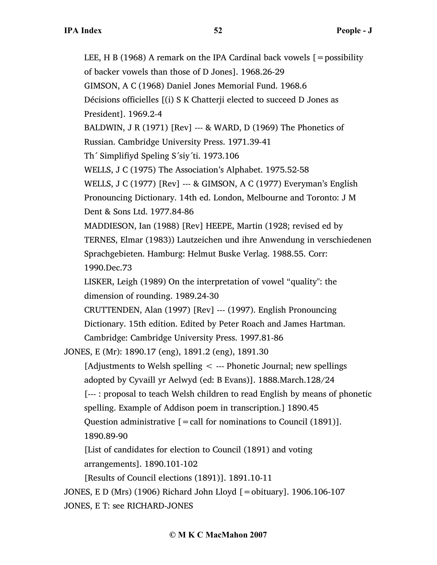LEE, H B (1968) A remark on the IPA Cardinal back vowels  $[$  = possibility of backer vowels than those of D Jones]. 1968.26-29 GIMSON, A C (1968) Daniel Jones Memorial Fund. 1968.6 Décisions officielles [(i) S K Chatterji elected to succeed D Jones as President]. 1969.2-4 BALDWIN, J R (1971) [Rev] --- & WARD, D (1969) The Phonetics of Russian. Cambridge University Press. 1971.39-41 Th´ Simplifiyd Speling S´siy´ti. 1973.106 WELLS, J C (1975) The Association's Alphabet. 1975.52-58 WELLS, J C (1977) [Rev] --- & GIMSON, A C (1977) Everyman's English Pronouncing Dictionary. 14th ed. London, Melbourne and Toronto: J M Dent & Sons Ltd. 1977.84-86 MADDIESON, Ian (1988) [Rev] HEEPE, Martin (1928; revised ed by TERNES, Elmar (1983)) Lautzeichen und ihre Anwendung in verschiedenen Sprachgebieten. Hamburg: Helmut Buske Verlag. 1988.55. Corr: 1990.Dec.73 LISKER, Leigh (1989) On the interpretation of vowel "quality": the dimension of rounding. 1989.24-30 CRUTTENDEN, Alan (1997) [Rev] --- (1997). English Pronouncing Dictionary. 15th edition. Edited by Peter Roach and James Hartman. Cambridge: Cambridge University Press. 1997.81-86 JONES, E (Mr): 1890.17 (eng), 1891.2 (eng), 1891.30 [Adjustments to Welsh spelling < --- Phonetic Journal; new spellings adopted by Cyvaill yr Aelwyd (ed: B Evans)]. 1888.March.128/24 [--- : proposal to teach Welsh children to read English by means of phonetic spelling. Example of Addison poem in transcription.] 1890.45 Question administrative  $[=$  call for nominations to Council (1891)]. 1890.89-90 [List of candidates for election to Council (1891) and voting arrangements]. 1890.101-102 [Results of Council elections (1891)]. 1891.10-11 JONES, E D (Mrs) (1906) Richard John Lloyd [=obituary]. 1906.106-107 JONES, E T: see RICHARD-JONES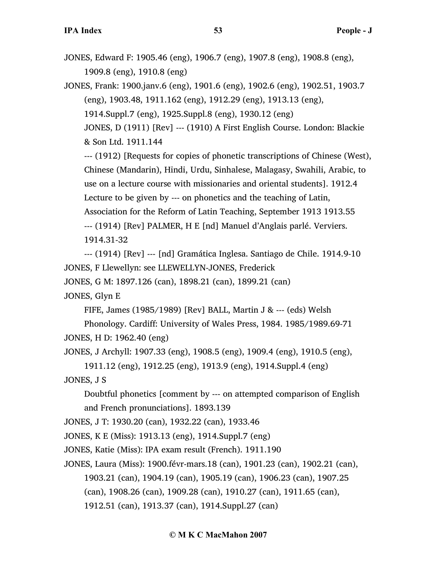- JONES, Edward F: 1905.46 (eng), 1906.7 (eng), 1907.8 (eng), 1908.8 (eng), 1909.8 (eng), 1910.8 (eng)
- JONES, Frank: 1900.janv.6 (eng), 1901.6 (eng), 1902.6 (eng), 1902.51, 1903.7 (eng), 1903.48, 1911.162 (eng), 1912.29 (eng), 1913.13 (eng), 1914.Suppl.7 (eng), 1925.Suppl.8 (eng), 1930.12 (eng) JONES, D (1911) [Rev] --- (1910) A First English Course. London: Blackie

& Son Ltd. 1911.144

--- (1912) [Requests for copies of phonetic transcriptions of Chinese (West), Chinese (Mandarin), Hindi, Urdu, Sinhalese, Malagasy, Swahili, Arabic, to use on a lecture course with missionaries and oriental students]. 1912.4 Lecture to be given by --- on phonetics and the teaching of Latin, Association for the Reform of Latin Teaching, September 1913 1913.55 --- (1914) [Rev] PALMER, H E [nd] Manuel d'Anglais parlé. Verviers. 1914.31-32

--- (1914) [Rev] --- [nd] Gramática Inglesa. Santiago de Chile. 1914.9-10 JONES, F Llewellyn: see LLEWELLYN-JONES, Frederick

JONES, G M: 1897.126 (can), 1898.21 (can), 1899.21 (can)

JONES, Glyn E

FIFE, James (1985/1989) [Rev] BALL, Martin J & --- (eds) Welsh

Phonology. Cardiff: University of Wales Press, 1984. 1985/1989.69-71 JONES, H D: 1962.40 (eng)

JONES, J Archyll: 1907.33 (eng), 1908.5 (eng), 1909.4 (eng), 1910.5 (eng),

1911.12 (eng), 1912.25 (eng), 1913.9 (eng), 1914.Suppl.4 (eng)

JONES, J S

Doubtful phonetics [comment by --- on attempted comparison of English and French pronunciations]. 1893.139

JONES, J T: 1930.20 (can), 1932.22 (can), 1933.46

JONES, K E (Miss): 1913.13 (eng), 1914.Suppl.7 (eng)

JONES, Katie (Miss): IPA exam result (French). 1911.190

JONES, Laura (Miss): 1900.févr-mars.18 (can), 1901.23 (can), 1902.21 (can), 1903.21 (can), 1904.19 (can), 1905.19 (can), 1906.23 (can), 1907.25

(can), 1908.26 (can), 1909.28 (can), 1910.27 (can), 1911.65 (can),

1912.51 (can), 1913.37 (can), 1914.Suppl.27 (can)

#### **© M K C MacMahon 2007**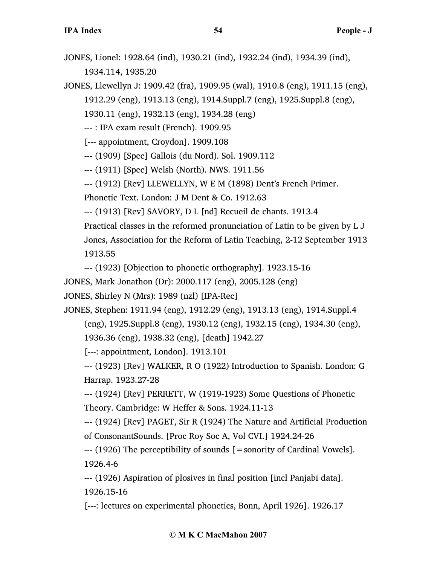JONES, Lionel: 1928.64 (ind), 1930.21 (ind), 1932.24 (ind), 1934.39 (ind), 1934.114, 1935.20

JONES, Llewellyn J: 1909.42 (fra), 1909.95 (wal), 1910.8 (eng), 1911.15 (eng),

1912.29 (eng), 1913.13 (eng), 1914.Suppl.7 (eng), 1925.Suppl.8 (eng),

1930.11 (eng), 1932.13 (eng), 1934.28 (eng)

--- : IPA exam result (French). 1909.95

[--- appointment, Croydon]. 1909.108

--- (1909) [Spec] Gallois (du Nord). Sol. 1909.112

--- (1911) [Spec] Welsh (North). NWS. 1911.56

--- (1912) [Rev] LLEWELLYN, W E M (1898) Dent's French Primer.

Phonetic Text. London: J M Dent & Co. 1912.63

--- (1913) [Rev] SAVORY, D L [nd] Recueil de chants. 1913.4

Practical classes in the reformed pronunciation of Latin to be given by L J

Jones, Association for the Reform of Latin Teaching, 2-12 September 1913 1913.55

--- (1923) [Objection to phonetic orthography]. 1923.15-16

JONES, Mark Jonathon (Dr): 2000.117 (eng), 2005.128 (eng)

JONES, Shirley N (Mrs): 1989 (nzl) [IPA-Rec]

JONES, Stephen: 1911.94 (eng), 1912.29 (eng), 1913.13 (eng), 1914.Suppl.4 (eng), 1925.Suppl.8 (eng), 1930.12 (eng), 1932.15 (eng), 1934.30 (eng), 1936.36 (eng), 1938.32 (eng), [death] 1942.27

[---: appointment, London]. 1913.101

--- (1923) [Rev] WALKER, R O (1922) Introduction to Spanish. London: G Harrap. 1923.27-28

--- (1924) [Rev] PERRETT, W (1919-1923) Some Questions of Phonetic Theory. Cambridge: W Heffer & Sons. 1924.11-13

--- (1924) [Rev] PAGET, Sir R (1924) The Nature and Artificial Production of ConsonantSounds. [Proc Roy Soc A, Vol CVI.] 1924.24-26

--- (1926) The perceptibility of sounds [=sonority of Cardinal Vowels]. 1926.4-6

--- (1926) Aspiration of plosives in final position [incl Panjabi data]. 1926.15-16

[---: lectures on experimental phonetics, Bonn, April 1926]. 1926.17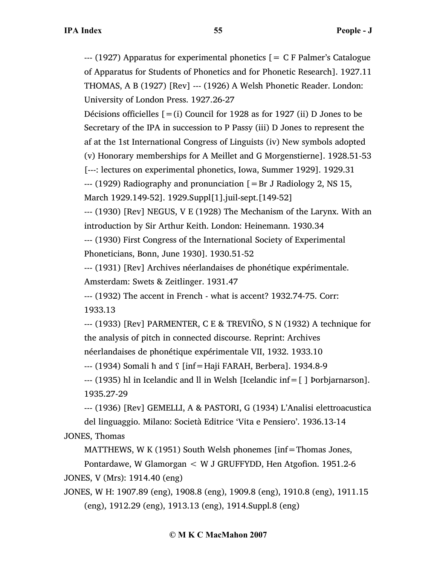$-$ -- (1927) Apparatus for experimental phonetics  $[$  = C F Palmer's Catalogue of Apparatus for Students of Phonetics and for Phonetic Research]. 1927.11 THOMAS, A B (1927) [Rev] --- (1926) A Welsh Phonetic Reader. London: University of London Press. 1927.26-27

Décisions officielles  $[=(i)$  Council for 1928 as for 1927 (ii) D Jones to be Secretary of the IPA in succession to P Passy (iii) D Jones to represent the af at the 1st International Congress of Linguists (iv) New symbols adopted

(v) Honorary memberships for A Meillet and G Morgenstierne]. 1928.51-53

[---: lectures on experimental phonetics, Iowa, Summer 1929]. 1929.31

 $-$ -- (1929) Radiography and pronunciation  $[$  = Br J Radiology 2, NS 15,

```
March 1929.149-52]. 1929.Suppl[1].juil-sept.[149-52]
```
--- (1930) [Rev] NEGUS, V E (1928) The Mechanism of the Larynx. With an introduction by Sir Arthur Keith. London: Heinemann. 1930.34

--- (1930) First Congress of the International Society of Experimental Phoneticians, Bonn, June 1930]. 1930.51-52

--- (1931) [Rev] Archives néerlandaises de phonétique expérimentale.

Amsterdam: Swets & Zeitlinger. 1931.47

--- (1932) The accent in French - what is accent? 1932.74-75. Corr:

1933.13

--- (1933) [Rev] PARMENTER, C E & TREVIÑO, S N (1932) A technique for the analysis of pitch in connected discourse. Reprint: Archives

néerlandaises de phonétique expérimentale VII, 1932. 1933.10

 $-$  (1934) Somali  $\hbar$  and  $\int$  [inf=Haji FARAH, Berbera]. 1934.8-9

--- (1935) hl in Icelandic and ll in Welsh [Icelandic inf=[ ] Þorbjarnarson]. 1935.27-29

--- (1936) [Rev] GEMELLI, A & PASTORI, G (1934) L'Analisi elettroacustica del linguaggio. Milano: Società Editrice 'Vita e Pensiero'. 1936.13-14 JONES, Thomas

MATTHEWS, W K (1951) South Welsh phonemes [inf=Thomas Jones,

Pontardawe, W Glamorgan < W J GRUFFYDD, Hen Atgofion. 1951.2-6 JONES, V (Mrs): 1914.40 (eng)

JONES, W H: 1907.89 (eng), 1908.8 (eng), 1909.8 (eng), 1910.8 (eng), 1911.15 (eng), 1912.29 (eng), 1913.13 (eng), 1914.Suppl.8 (eng)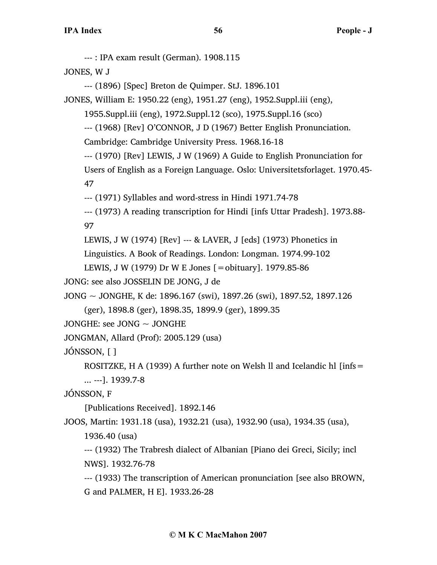--- : IPA exam result (German). 1908.115

JONES, W J

--- (1896) [Spec] Breton de Quimper. StJ. 1896.101

JONES, William E: 1950.22 (eng), 1951.27 (eng), 1952.Suppl.iii (eng),

1955.Suppl.iii (eng), 1972.Suppl.12 (sco), 1975.Suppl.16 (sco)

--- (1968) [Rev] O'CONNOR, J D (1967) Better English Pronunciation.

Cambridge: Cambridge University Press. 1968.16-18

--- (1970) [Rev] LEWIS, J W (1969) A Guide to English Pronunciation for Users of English as a Foreign Language. Oslo: Universitetsforlaget. 1970.45- 47

--- (1971) Syllables and word-stress in Hindi 1971.74-78

--- (1973) A reading transcription for Hindi [infs Uttar Pradesh]. 1973.88- 97

LEWIS, J W (1974) [Rev] --- & LAVER, J [eds] (1973) Phonetics in

Linguistics. A Book of Readings. London: Longman. 1974.99-102

LEWIS, J W (1979) Dr W E Jones [=obituary]. 1979.85-86

JONG: see also JOSSELIN DE JONG, J de

JONG ~ JONGHE, K de: 1896.167 (swi), 1897.26 (swi), 1897.52, 1897.126

(ger), 1898.8 (ger), 1898.35, 1899.9 (ger), 1899.35

JONGHE: see JONG  $\sim$  JONGHE

JONGMAN, Allard (Prof): 2005.129 (usa)

JÓNSSON, [ ]

ROSITZKE, H A (1939) A further note on Welsh II and Icelandic hl  $[ins =$ 

... ---]. 1939.7-8

JÓNSSON, F

[Publications Received]. 1892.146

JOOS, Martin: 1931.18 (usa), 1932.21 (usa), 1932.90 (usa), 1934.35 (usa),

1936.40 (usa)

--- (1932) The Trabresh dialect of Albanian [Piano dei Greci, Sicily; incl NWS]. 1932.76-78

--- (1933) The transcription of American pronunciation [see also BROWN, G and PALMER, H E]. 1933.26-28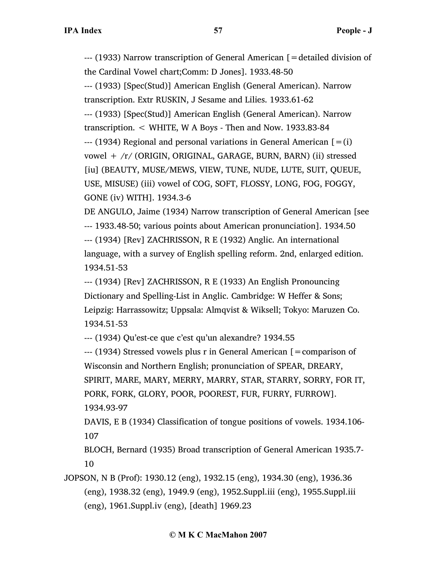--- (1933) Narrow transcription of General American [=detailed division of the Cardinal Vowel chart;Comm: D Jones]. 1933.48-50 --- (1933) [Spec(Stud)] American English (General American). Narrow transcription. Extr RUSKIN, J Sesame and Lilies. 1933.61-62 --- (1933) [Spec(Stud)] American English (General American). Narrow transcription. < WHITE, W A Boys - Then and Now. 1933.83-84  $-$ -- (1934) Regional and personal variations in General American  $[=(i)]$ vowel + /r/ (ORIGIN, ORIGINAL, GARAGE, BURN, BARN) (ii) stressed [iu] (BEAUTY, MUSE/MEWS, VIEW, TUNE, NUDE, LUTE, SUIT, QUEUE, USE, MISUSE) (iii) vowel of COG, SOFT, FLOSSY, LONG, FOG, FOGGY, GONE (iv) WITH]. 1934.3-6

DE ANGULO, Jaime (1934) Narrow transcription of General American [see --- 1933.48-50; various points about American pronunciation]. 1934.50 --- (1934) [Rev] ZACHRISSON, R E (1932) Anglic. An international language, with a survey of English spelling reform. 2nd, enlarged edition. 1934.51-53

--- (1934) [Rev] ZACHRISSON, R E (1933) An English Pronouncing Dictionary and Spelling-List in Anglic. Cambridge: W Heffer & Sons; Leipzig: Harrassowitz; Uppsala: Almqvist & Wiksell; Tokyo: Maruzen Co. 1934.51-53

--- (1934) Qu'est-ce que c'est qu'un alexandre? 1934.55

 $--$  (1934) Stressed vowels plus r in General American  $=$  comparison of Wisconsin and Northern English; pronunciation of SPEAR, DREARY, SPIRIT, MARE, MARY, MERRY, MARRY, STAR, STARRY, SORRY, FOR IT, PORK, FORK, GLORY, POOR, POOREST, FUR, FURRY, FURROW]. 1934.93-97

DAVIS, E B (1934) Classification of tongue positions of vowels. 1934.106- 107

BLOCH, Bernard (1935) Broad transcription of General American 1935.7- 10

JOPSON, N B (Prof): 1930.12 (eng), 1932.15 (eng), 1934.30 (eng), 1936.36 (eng), 1938.32 (eng), 1949.9 (eng), 1952.Suppl.iii (eng), 1955.Suppl.iii (eng), 1961.Suppl.iv (eng), [death] 1969.23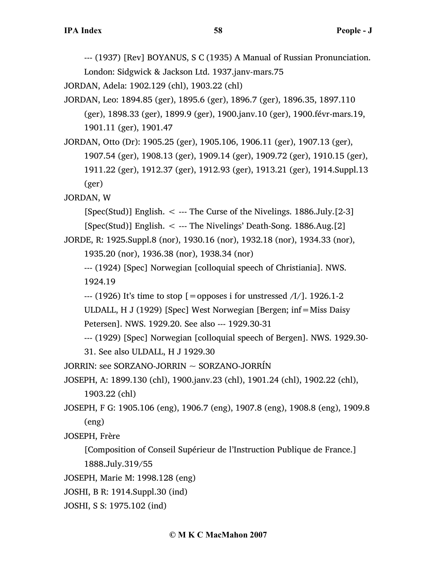--- (1937) [Rev] BOYANUS, S C (1935) A Manual of Russian Pronunciation.

London: Sidgwick & Jackson Ltd. 1937.janv-mars.75

JORDAN, Adela: 1902.129 (chl), 1903.22 (chl)

JORDAN, Leo: 1894.85 (ger), 1895.6 (ger), 1896.7 (ger), 1896.35, 1897.110 (ger), 1898.33 (ger), 1899.9 (ger), 1900.janv.10 (ger), 1900.févr-mars.19, 1901.11 (ger), 1901.47

JORDAN, Otto (Dr): 1905.25 (ger), 1905.106, 1906.11 (ger), 1907.13 (ger), 1907.54 (ger), 1908.13 (ger), 1909.14 (ger), 1909.72 (ger), 1910.15 (ger), 1911.22 (ger), 1912.37 (ger), 1912.93 (ger), 1913.21 (ger), 1914.Suppl.13 (ger)

JORDAN, W

[Spec(Stud)] English.  $\leq$  --- The Curse of the Nivelings. 1886.July.[2-3]

```
[Spec(Stud)] English. < --- The Nivelings' Death-Song. 1886.Aug.[2]
```
JORDE, R: 1925.Suppl.8 (nor), 1930.16 (nor), 1932.18 (nor), 1934.33 (nor),

1935.20 (nor), 1936.38 (nor), 1938.34 (nor)

--- (1924) [Spec] Norwegian [colloquial speech of Christiania]. NWS. 1924.19

 $-$  (1926) It's time to stop  $\lceil$  = opposes i for unstressed  $\binom{1}{1}$ . 1926.1-2

ULDALL, H J (1929) [Spec] West Norwegian [Bergen; inf=Miss Daisy

```
Petersen]. NWS. 1929.20. See also --- 1929.30-31
```
--- (1929) [Spec] Norwegian [colloquial speech of Bergen]. NWS. 1929.30-

31. See also ULDALL, H J 1929.30

JORRIN: see SORZANO-JORRIN ~ SORZANO-JORRÍN

JOSEPH, A: 1899.130 (chl), 1900.janv.23 (chl), 1901.24 (chl), 1902.22 (chl), 1903.22 (chl)

JOSEPH, F G: 1905.106 (eng), 1906.7 (eng), 1907.8 (eng), 1908.8 (eng), 1909.8 (eng)

JOSEPH, Frère

[Composition of Conseil Supérieur de l'Instruction Publique de France.] 1888.July.319/55

```
JOSEPH, Marie M: 1998.128 (eng)
```
JOSHI, B R: 1914.Suppl.30 (ind)

JOSHI, S S: 1975.102 (ind)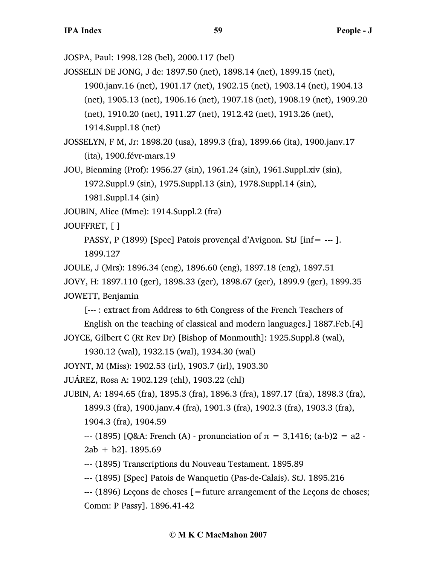JOSPA, Paul: 1998.128 (bel), 2000.117 (bel)

JOSSELIN DE JONG, J de: 1897.50 (net), 1898.14 (net), 1899.15 (net),

1900.janv.16 (net), 1901.17 (net), 1902.15 (net), 1903.14 (net), 1904.13

(net), 1905.13 (net), 1906.16 (net), 1907.18 (net), 1908.19 (net), 1909.20

(net), 1910.20 (net), 1911.27 (net), 1912.42 (net), 1913.26 (net),

1914.Suppl.18 (net)

JOSSELYN, F M, Jr: 1898.20 (usa), 1899.3 (fra), 1899.66 (ita), 1900.janv.17 (ita), 1900.févr-mars.19

JOU, Bienming (Prof): 1956.27 (sin), 1961.24 (sin), 1961.Suppl.xiv (sin), 1972.Suppl.9 (sin), 1975.Suppl.13 (sin), 1978.Suppl.14 (sin), 1981.Suppl.14 (sin)

JOUBIN, Alice (Mme): 1914.Suppl.2 (fra)

JOUFFRET, [ ]

PASSY, P (1899) [Spec] Patois provençal d'Avignon. StJ [inf= --- ].

1899.127

JOULE, J (Mrs): 1896.34 (eng), 1896.60 (eng), 1897.18 (eng), 1897.51

JOVY, H: 1897.110 (ger), 1898.33 (ger), 1898.67 (ger), 1899.9 (ger), 1899.35

JOWETT, Benjamin

[--- : extract from Address to 6th Congress of the French Teachers of

English on the teaching of classical and modern languages.] 1887.Feb.[4]

JOYCE, Gilbert C (Rt Rev Dr) [Bishop of Monmouth]: 1925.Suppl.8 (wal),

1930.12 (wal), 1932.15 (wal), 1934.30 (wal)

JOYNT, M (Miss): 1902.53 (irl), 1903.7 (irl), 1903.30

JUÁREZ, Rosa A: 1902.129 (chl), 1903.22 (chl)

JUBIN, A: 1894.65 (fra), 1895.3 (fra), 1896.3 (fra), 1897.17 (fra), 1898.3 (fra), 1899.3 (fra), 1900.janv.4 (fra), 1901.3 (fra), 1902.3 (fra), 1903.3 (fra),

1904.3 (fra), 1904.59

--- (1895) [Q&A: French (A) - pronunciation of π = 3,1416; (a-b)2 = a2 -  $2ab + b2$ ]. 1895.69

--- (1895) Transcriptions du Nouveau Testament. 1895.89

--- (1895) [Spec] Patois de Wanquetin (Pas-de-Calais). StJ. 1895.216

 $-$ -- $(1896)$  Lecons de choses  $=$  future arrangement of the Lecons de choses; Comm: P Passy]. 1896.41-42

## **© M K C MacMahon 2007**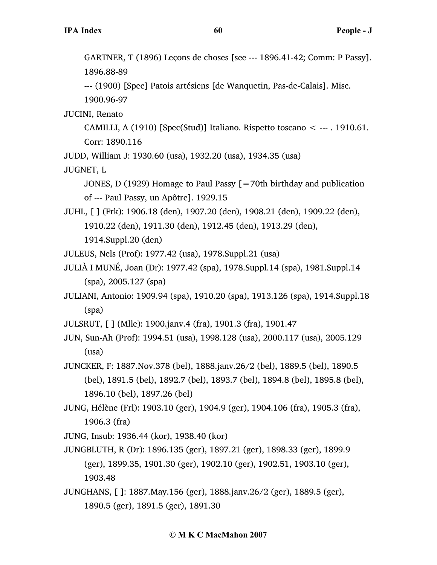--- (1900) [Spec] Patois artésiens [de Wanquetin, Pas-de-Calais]. Misc. 1900.96-97

JUCINI, Renato

CAMILLI, A (1910) [Spec(Stud)] Italiano. Rispetto toscano  $\lt$  --- . 1910.61. Corr: 1890.116

JUDD, William J: 1930.60 (usa), 1932.20 (usa), 1934.35 (usa)

JUGNET, L

JONES, D (1929) Homage to Paul Passy [=70th birthday and publication of --- Paul Passy, un Apôtre]. 1929.15

JUHL, [ ] (Frk): 1906.18 (den), 1907.20 (den), 1908.21 (den), 1909.22 (den), 1910.22 (den), 1911.30 (den), 1912.45 (den), 1913.29 (den), 1914.Suppl.20 (den)

JULEUS, Nels (Prof): 1977.42 (usa), 1978.Suppl.21 (usa)

- JULIÀ I MUNÉ, Joan (Dr): 1977.42 (spa), 1978.Suppl.14 (spa), 1981.Suppl.14 (spa), 2005.127 (spa)
- JULIANI, Antonio: 1909.94 (spa), 1910.20 (spa), 1913.126 (spa), 1914.Suppl.18 (spa)

JULSRUT, [ ] (Mlle): 1900.janv.4 (fra), 1901.3 (fra), 1901.47

JUN, Sun-Ah (Prof): 1994.51 (usa), 1998.128 (usa), 2000.117 (usa), 2005.129 (usa)

JUNCKER, F: 1887.Nov.378 (bel), 1888.janv.26/2 (bel), 1889.5 (bel), 1890.5 (bel), 1891.5 (bel), 1892.7 (bel), 1893.7 (bel), 1894.8 (bel), 1895.8 (bel), 1896.10 (bel), 1897.26 (bel)

JUNG, Hélène (Frl): 1903.10 (ger), 1904.9 (ger), 1904.106 (fra), 1905.3 (fra), 1906.3 (fra)

JUNG, Insub: 1936.44 (kor), 1938.40 (kor)

JUNGBLUTH, R (Dr): 1896.135 (ger), 1897.21 (ger), 1898.33 (ger), 1899.9 (ger), 1899.35, 1901.30 (ger), 1902.10 (ger), 1902.51, 1903.10 (ger), 1903.48

JUNGHANS, [ ]: 1887.May.156 (ger), 1888.janv.26/2 (ger), 1889.5 (ger), 1890.5 (ger), 1891.5 (ger), 1891.30